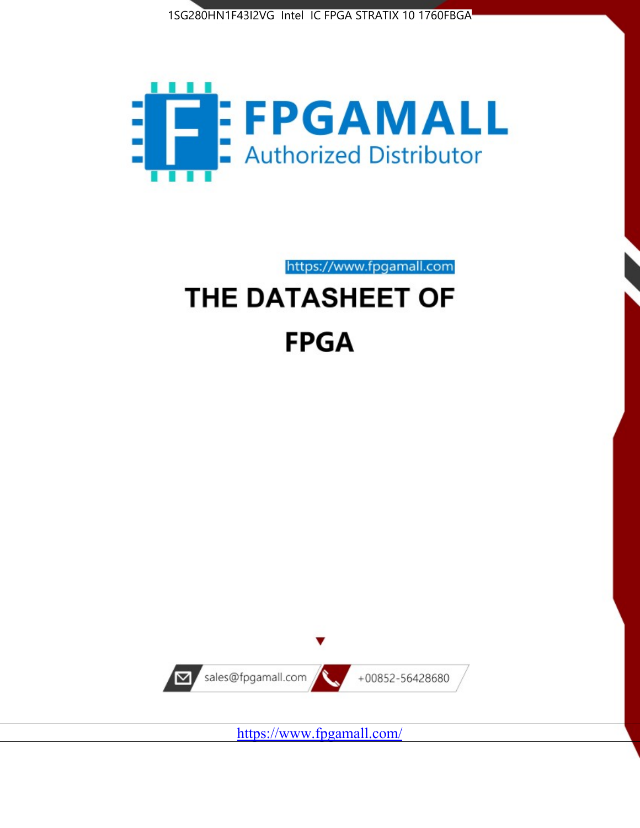



https://www.fpgamall.com

# THE DATASHEET OF **FPGA**



<https://www.fpgamall.com/>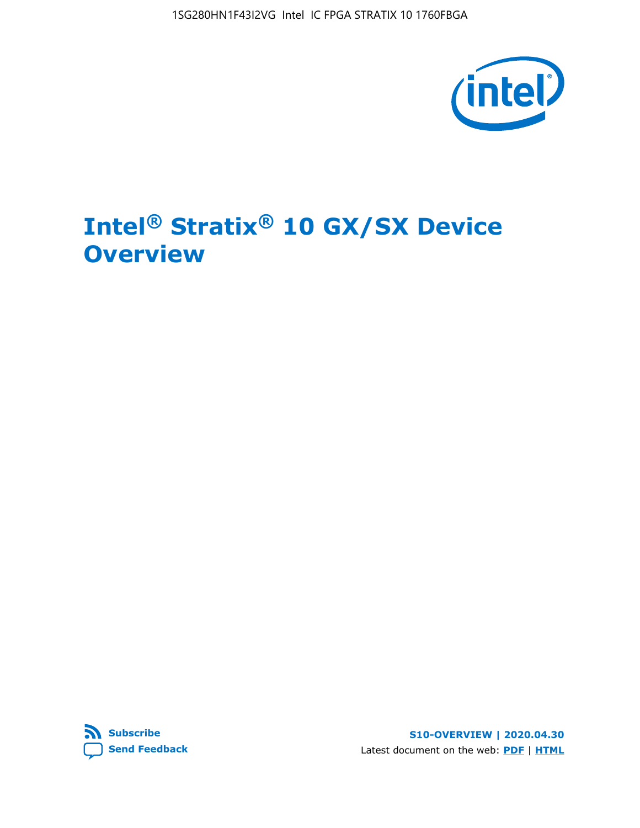1SG280HN1F43I2VG Intel IC FPGA STRATIX 10 1760FBGA



## **Intel® Stratix® 10 GX/SX Device Overview**



**S10-OVERVIEW | 2020.04.30** Latest document on the web: **[PDF](https://www.intel.com/content/dam/www/programmable/us/en/pdfs/literature/hb/stratix-10/s10-overview.pdf)** | **[HTML](https://www.intel.com/content/www/us/en/programmable/documentation/joc1442261161666.html)**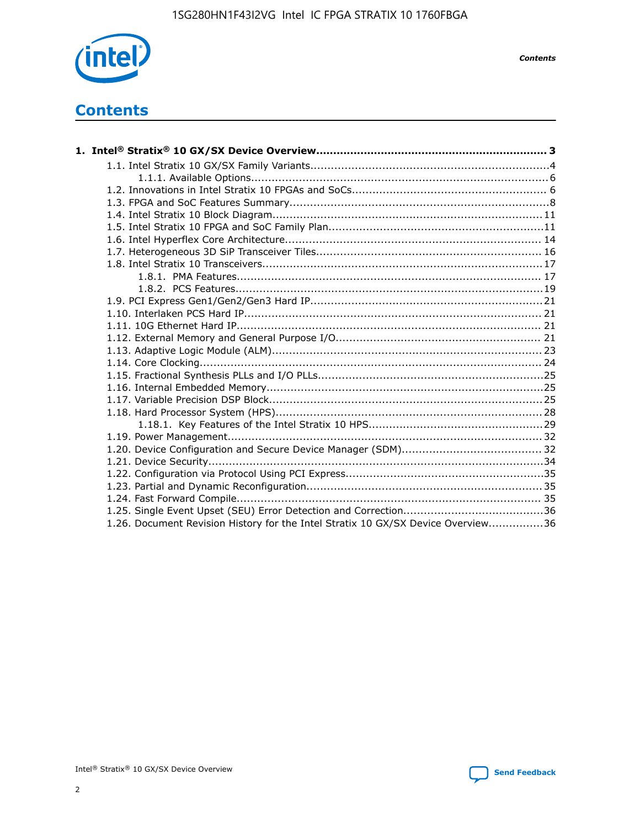

*Contents*

### **Contents**

| 1.26. Document Revision History for the Intel Stratix 10 GX/SX Device Overview36 |  |
|----------------------------------------------------------------------------------|--|

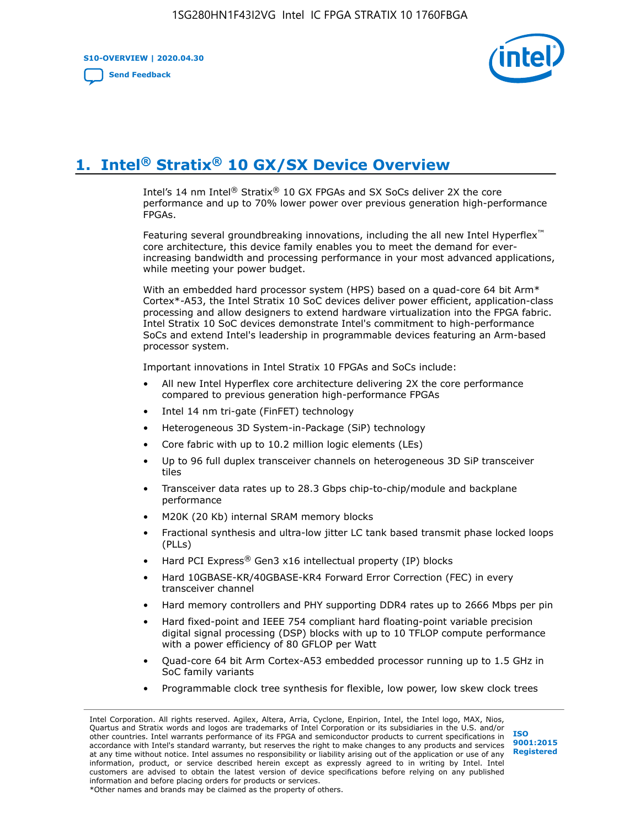**S10-OVERVIEW | 2020.04.30**

**[Send Feedback](mailto:FPGAtechdocfeedback@intel.com?subject=Feedback%20on%20Intel%20Stratix%2010%20GX/SX%20Device%20Overview%20(S10-OVERVIEW%202020.04.30)&body=We%20appreciate%20your%20feedback.%20In%20your%20comments,%20also%20specify%20the%20page%20number%20or%20paragraph.%20Thank%20you.)**



### **1. Intel® Stratix® 10 GX/SX Device Overview**

Intel's 14 nm Intel® Stratix® 10 GX FPGAs and SX SoCs deliver 2X the core performance and up to 70% lower power over previous generation high-performance FPGAs.

Featuring several groundbreaking innovations, including the all new Intel Hyperflex™ core architecture, this device family enables you to meet the demand for everincreasing bandwidth and processing performance in your most advanced applications, while meeting your power budget.

With an embedded hard processor system (HPS) based on a quad-core 64 bit Arm\* Cortex\*-A53, the Intel Stratix 10 SoC devices deliver power efficient, application-class processing and allow designers to extend hardware virtualization into the FPGA fabric. Intel Stratix 10 SoC devices demonstrate Intel's commitment to high-performance SoCs and extend Intel's leadership in programmable devices featuring an Arm-based processor system.

Important innovations in Intel Stratix 10 FPGAs and SoCs include:

- All new Intel Hyperflex core architecture delivering 2X the core performance compared to previous generation high-performance FPGAs
- Intel 14 nm tri-gate (FinFET) technology
- Heterogeneous 3D System-in-Package (SiP) technology
- Core fabric with up to 10.2 million logic elements (LEs)
- Up to 96 full duplex transceiver channels on heterogeneous 3D SiP transceiver tiles
- Transceiver data rates up to 28.3 Gbps chip-to-chip/module and backplane performance
- M20K (20 Kb) internal SRAM memory blocks
- Fractional synthesis and ultra-low jitter LC tank based transmit phase locked loops (PLLs)
- Hard PCI Express<sup>®</sup> Gen3 x16 intellectual property (IP) blocks
- Hard 10GBASE-KR/40GBASE-KR4 Forward Error Correction (FEC) in every transceiver channel
- Hard memory controllers and PHY supporting DDR4 rates up to 2666 Mbps per pin
- Hard fixed-point and IEEE 754 compliant hard floating-point variable precision digital signal processing (DSP) blocks with up to 10 TFLOP compute performance with a power efficiency of 80 GFLOP per Watt
- Quad-core 64 bit Arm Cortex-A53 embedded processor running up to 1.5 GHz in SoC family variants
- Programmable clock tree synthesis for flexible, low power, low skew clock trees

Intel Corporation. All rights reserved. Agilex, Altera, Arria, Cyclone, Enpirion, Intel, the Intel logo, MAX, Nios, Quartus and Stratix words and logos are trademarks of Intel Corporation or its subsidiaries in the U.S. and/or other countries. Intel warrants performance of its FPGA and semiconductor products to current specifications in accordance with Intel's standard warranty, but reserves the right to make changes to any products and services at any time without notice. Intel assumes no responsibility or liability arising out of the application or use of any information, product, or service described herein except as expressly agreed to in writing by Intel. Intel customers are advised to obtain the latest version of device specifications before relying on any published information and before placing orders for products or services. \*Other names and brands may be claimed as the property of others.

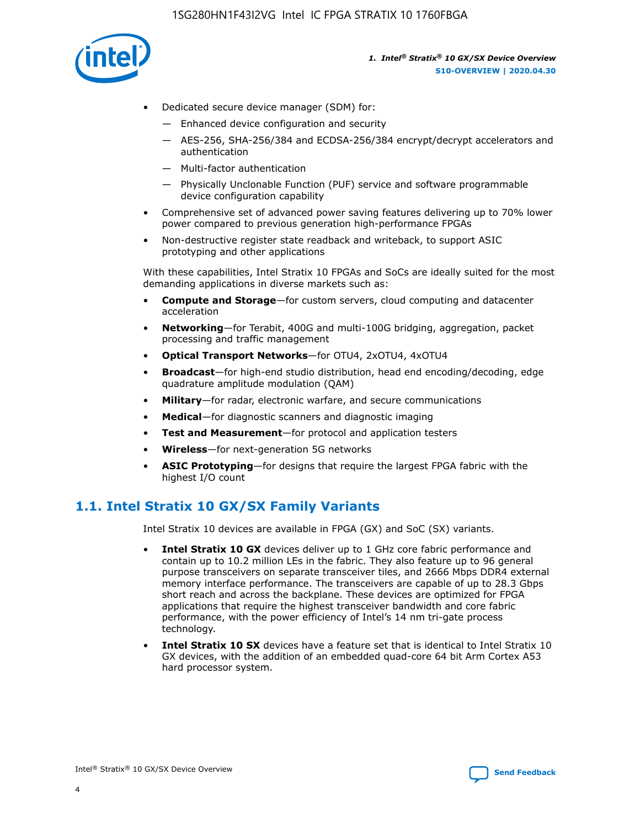

- Dedicated secure device manager (SDM) for:
	- Enhanced device configuration and security
	- AES-256, SHA-256/384 and ECDSA-256/384 encrypt/decrypt accelerators and authentication
	- Multi-factor authentication
	- Physically Unclonable Function (PUF) service and software programmable device configuration capability
- Comprehensive set of advanced power saving features delivering up to 70% lower power compared to previous generation high-performance FPGAs
- Non-destructive register state readback and writeback, to support ASIC prototyping and other applications

With these capabilities, Intel Stratix 10 FPGAs and SoCs are ideally suited for the most demanding applications in diverse markets such as:

- **Compute and Storage**—for custom servers, cloud computing and datacenter acceleration
- **Networking**—for Terabit, 400G and multi-100G bridging, aggregation, packet processing and traffic management
- **Optical Transport Networks**—for OTU4, 2xOTU4, 4xOTU4
- **Broadcast**—for high-end studio distribution, head end encoding/decoding, edge quadrature amplitude modulation (QAM)
- **Military**—for radar, electronic warfare, and secure communications
- **Medical**—for diagnostic scanners and diagnostic imaging
- **Test and Measurement**—for protocol and application testers
- **Wireless**—for next-generation 5G networks
- **ASIC Prototyping**—for designs that require the largest FPGA fabric with the highest I/O count

### **1.1. Intel Stratix 10 GX/SX Family Variants**

Intel Stratix 10 devices are available in FPGA (GX) and SoC (SX) variants.

- **Intel Stratix 10 GX** devices deliver up to 1 GHz core fabric performance and contain up to 10.2 million LEs in the fabric. They also feature up to 96 general purpose transceivers on separate transceiver tiles, and 2666 Mbps DDR4 external memory interface performance. The transceivers are capable of up to 28.3 Gbps short reach and across the backplane. These devices are optimized for FPGA applications that require the highest transceiver bandwidth and core fabric performance, with the power efficiency of Intel's 14 nm tri-gate process technology.
- **Intel Stratix 10 SX** devices have a feature set that is identical to Intel Stratix 10 GX devices, with the addition of an embedded quad-core 64 bit Arm Cortex A53 hard processor system.

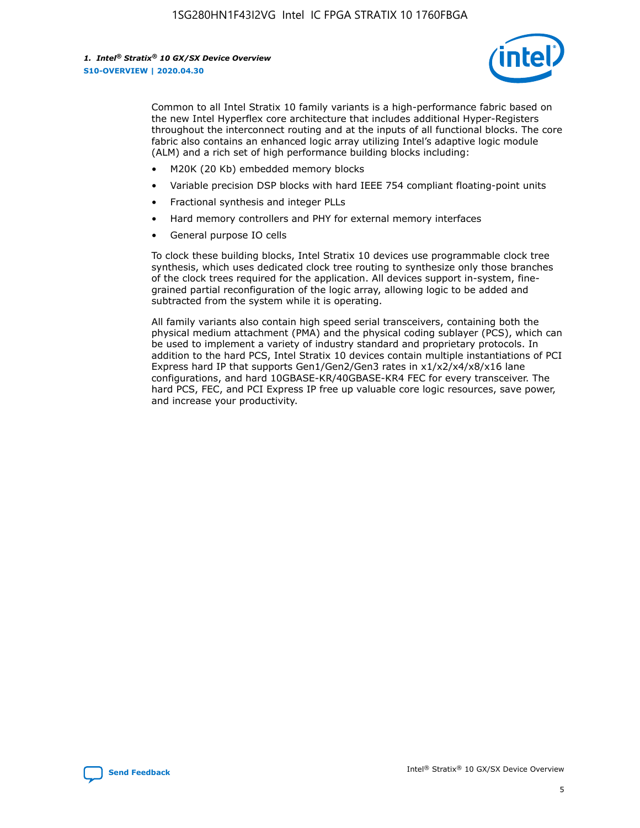

Common to all Intel Stratix 10 family variants is a high-performance fabric based on the new Intel Hyperflex core architecture that includes additional Hyper-Registers throughout the interconnect routing and at the inputs of all functional blocks. The core fabric also contains an enhanced logic array utilizing Intel's adaptive logic module (ALM) and a rich set of high performance building blocks including:

- M20K (20 Kb) embedded memory blocks
- Variable precision DSP blocks with hard IEEE 754 compliant floating-point units
- Fractional synthesis and integer PLLs
- Hard memory controllers and PHY for external memory interfaces
- General purpose IO cells

To clock these building blocks, Intel Stratix 10 devices use programmable clock tree synthesis, which uses dedicated clock tree routing to synthesize only those branches of the clock trees required for the application. All devices support in-system, finegrained partial reconfiguration of the logic array, allowing logic to be added and subtracted from the system while it is operating.

All family variants also contain high speed serial transceivers, containing both the physical medium attachment (PMA) and the physical coding sublayer (PCS), which can be used to implement a variety of industry standard and proprietary protocols. In addition to the hard PCS, Intel Stratix 10 devices contain multiple instantiations of PCI Express hard IP that supports Gen1/Gen2/Gen3 rates in x1/x2/x4/x8/x16 lane configurations, and hard 10GBASE-KR/40GBASE-KR4 FEC for every transceiver. The hard PCS, FEC, and PCI Express IP free up valuable core logic resources, save power, and increase your productivity.

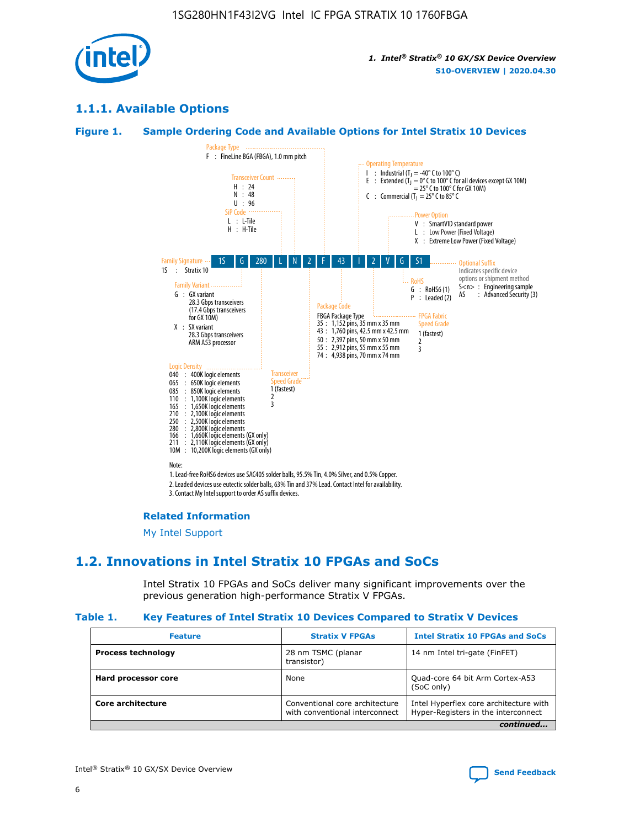

### **1.1.1. Available Options**

#### **Figure 1. Sample Ordering Code and Available Options for Intel Stratix 10 Devices**



#### **Related Information**

[My Intel Support](https://www.intel.com/content/www/us/en/programmable/my-intel/mal-home.html)

### **1.2. Innovations in Intel Stratix 10 FPGAs and SoCs**

Intel Stratix 10 FPGAs and SoCs deliver many significant improvements over the previous generation high-performance Stratix V FPGAs.

#### **Table 1. Key Features of Intel Stratix 10 Devices Compared to Stratix V Devices**

| <b>Feature</b>            | <b>Stratix V FPGAs</b>                                           | <b>Intel Stratix 10 FPGAs and SoCs</b>                                        |  |  |  |
|---------------------------|------------------------------------------------------------------|-------------------------------------------------------------------------------|--|--|--|
| <b>Process technology</b> | 28 nm TSMC (planar<br>transistor)                                | 14 nm Intel tri-gate (FinFET)                                                 |  |  |  |
| Hard processor core       | None                                                             | Quad-core 64 bit Arm Cortex-A53<br>(SoC only)                                 |  |  |  |
| Core architecture         | Conventional core architecture<br>with conventional interconnect | Intel Hyperflex core architecture with<br>Hyper-Registers in the interconnect |  |  |  |
| continued                 |                                                                  |                                                                               |  |  |  |

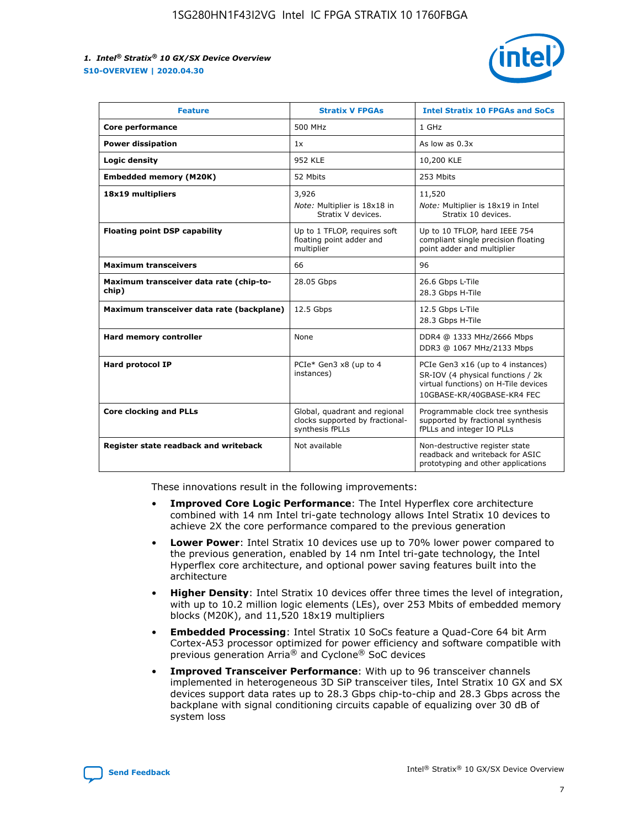

| <b>Feature</b>                                   | <b>Stratix V FPGAs</b>                                                              | <b>Intel Stratix 10 FPGAs and SoCs</b>                                                                                                       |
|--------------------------------------------------|-------------------------------------------------------------------------------------|----------------------------------------------------------------------------------------------------------------------------------------------|
| Core performance                                 | 500 MHz                                                                             | 1 GHz                                                                                                                                        |
| <b>Power dissipation</b>                         | 1x                                                                                  | As low as $0.3x$                                                                                                                             |
| Logic density                                    | 952 KLE                                                                             | 10,200 KLE                                                                                                                                   |
| <b>Embedded memory (M20K)</b>                    | 52 Mbits                                                                            | 253 Mbits                                                                                                                                    |
| 18x19 multipliers                                | 3,926                                                                               | 11,520                                                                                                                                       |
|                                                  | Note: Multiplier is 18x18 in<br>Stratix V devices.                                  | Note: Multiplier is 18x19 in Intel<br>Stratix 10 devices.                                                                                    |
| <b>Floating point DSP capability</b>             | Up to 1 TFLOP, requires soft<br>floating point adder and<br>multiplier              | Up to 10 TFLOP, hard IEEE 754<br>compliant single precision floating<br>point adder and multiplier                                           |
| <b>Maximum transceivers</b>                      | 66                                                                                  | 96                                                                                                                                           |
| Maximum transceiver data rate (chip-to-<br>chip) | 28.05 Gbps                                                                          | 26.6 Gbps L-Tile<br>28.3 Gbps H-Tile                                                                                                         |
| Maximum transceiver data rate (backplane)        | 12.5 Gbps                                                                           | 12.5 Gbps L-Tile<br>28.3 Gbps H-Tile                                                                                                         |
| Hard memory controller                           | None                                                                                | DDR4 @ 1333 MHz/2666 Mbps<br>DDR3 @ 1067 MHz/2133 Mbps                                                                                       |
| <b>Hard protocol IP</b>                          | PCIe* Gen3 x8 (up to 4<br>instances)                                                | PCIe Gen3 x16 (up to 4 instances)<br>SR-IOV (4 physical functions / 2k<br>virtual functions) on H-Tile devices<br>10GBASE-KR/40GBASE-KR4 FEC |
| <b>Core clocking and PLLs</b>                    | Global, quadrant and regional<br>clocks supported by fractional-<br>synthesis fPLLs | Programmable clock tree synthesis<br>supported by fractional synthesis<br>fPLLs and integer IO PLLs                                          |
| Register state readback and writeback            | Not available                                                                       | Non-destructive register state<br>readback and writeback for ASIC<br>prototyping and other applications                                      |

These innovations result in the following improvements:

- **Improved Core Logic Performance**: The Intel Hyperflex core architecture combined with 14 nm Intel tri-gate technology allows Intel Stratix 10 devices to achieve 2X the core performance compared to the previous generation
- **Lower Power**: Intel Stratix 10 devices use up to 70% lower power compared to the previous generation, enabled by 14 nm Intel tri-gate technology, the Intel Hyperflex core architecture, and optional power saving features built into the architecture
- **Higher Density**: Intel Stratix 10 devices offer three times the level of integration, with up to 10.2 million logic elements (LEs), over 253 Mbits of embedded memory blocks (M20K), and 11,520 18x19 multipliers
- **Embedded Processing**: Intel Stratix 10 SoCs feature a Quad-Core 64 bit Arm Cortex-A53 processor optimized for power efficiency and software compatible with previous generation Arria® and Cyclone® SoC devices
- **Improved Transceiver Performance**: With up to 96 transceiver channels implemented in heterogeneous 3D SiP transceiver tiles, Intel Stratix 10 GX and SX devices support data rates up to 28.3 Gbps chip-to-chip and 28.3 Gbps across the backplane with signal conditioning circuits capable of equalizing over 30 dB of system loss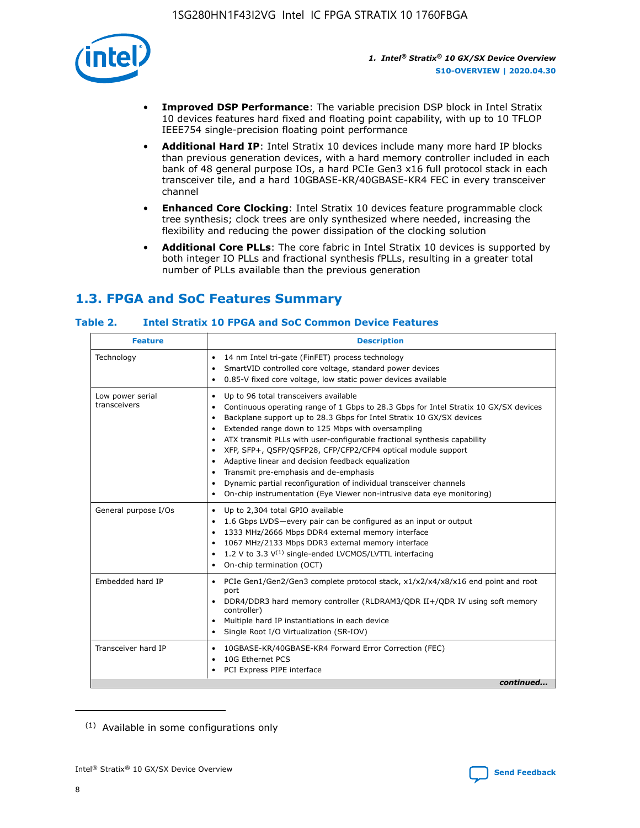

- **Improved DSP Performance**: The variable precision DSP block in Intel Stratix 10 devices features hard fixed and floating point capability, with up to 10 TFLOP IEEE754 single-precision floating point performance
- **Additional Hard IP**: Intel Stratix 10 devices include many more hard IP blocks than previous generation devices, with a hard memory controller included in each bank of 48 general purpose IOs, a hard PCIe Gen3 x16 full protocol stack in each transceiver tile, and a hard 10GBASE-KR/40GBASE-KR4 FEC in every transceiver channel
- **Enhanced Core Clocking**: Intel Stratix 10 devices feature programmable clock tree synthesis; clock trees are only synthesized where needed, increasing the flexibility and reducing the power dissipation of the clocking solution
- **Additional Core PLLs**: The core fabric in Intel Stratix 10 devices is supported by both integer IO PLLs and fractional synthesis fPLLs, resulting in a greater total number of PLLs available than the previous generation

### **1.3. FPGA and SoC Features Summary**

### **Table 2. Intel Stratix 10 FPGA and SoC Common Device Features**

| <b>Feature</b>                   | <b>Description</b>                                                                                                                                                                                                                                                                                                                                                                                                                                                                                                                                                                                                                                                                                                                      |
|----------------------------------|-----------------------------------------------------------------------------------------------------------------------------------------------------------------------------------------------------------------------------------------------------------------------------------------------------------------------------------------------------------------------------------------------------------------------------------------------------------------------------------------------------------------------------------------------------------------------------------------------------------------------------------------------------------------------------------------------------------------------------------------|
| Technology                       | 14 nm Intel tri-gate (FinFET) process technology<br>٠<br>SmartVID controlled core voltage, standard power devices<br>0.85-V fixed core voltage, low static power devices available                                                                                                                                                                                                                                                                                                                                                                                                                                                                                                                                                      |
| Low power serial<br>transceivers | Up to 96 total transceivers available<br>$\bullet$<br>Continuous operating range of 1 Gbps to 28.3 Gbps for Intel Stratix 10 GX/SX devices<br>$\bullet$<br>Backplane support up to 28.3 Gbps for Intel Stratix 10 GX/SX devices<br>$\bullet$<br>Extended range down to 125 Mbps with oversampling<br>$\bullet$<br>ATX transmit PLLs with user-configurable fractional synthesis capability<br>$\bullet$<br>• XFP, SFP+, QSFP/QSFP28, CFP/CFP2/CFP4 optical module support<br>• Adaptive linear and decision feedback equalization<br>Transmit pre-emphasis and de-emphasis<br>Dynamic partial reconfiguration of individual transceiver channels<br>$\bullet$<br>On-chip instrumentation (Eye Viewer non-intrusive data eye monitoring) |
| General purpose I/Os             | Up to 2,304 total GPIO available<br>$\bullet$<br>1.6 Gbps LVDS-every pair can be configured as an input or output<br>1333 MHz/2666 Mbps DDR4 external memory interface<br>1067 MHz/2133 Mbps DDR3 external memory interface<br>• 1.2 V to 3.3 $V^{(1)}$ single-ended LVCMOS/LVTTL interfacing<br>On-chip termination (OCT)<br>$\bullet$                                                                                                                                                                                                                                                                                                                                                                                                 |
| Embedded hard IP                 | PCIe Gen1/Gen2/Gen3 complete protocol stack, $x1/x2/x4/x8/x16$ end point and root<br>$\bullet$<br>port<br>DDR4/DDR3 hard memory controller (RLDRAM3/QDR II+/QDR IV using soft memory<br>controller)<br>• Multiple hard IP instantiations in each device<br>• Single Root I/O Virtualization (SR-IOV)                                                                                                                                                                                                                                                                                                                                                                                                                                    |
| Transceiver hard IP              | 10GBASE-KR/40GBASE-KR4 Forward Error Correction (FEC)<br>$\bullet$<br>10G Ethernet PCS<br>$\bullet$<br>PCI Express PIPE interface<br>$\bullet$<br>continued                                                                                                                                                                                                                                                                                                                                                                                                                                                                                                                                                                             |

<sup>(1)</sup> Available in some configurations only

8

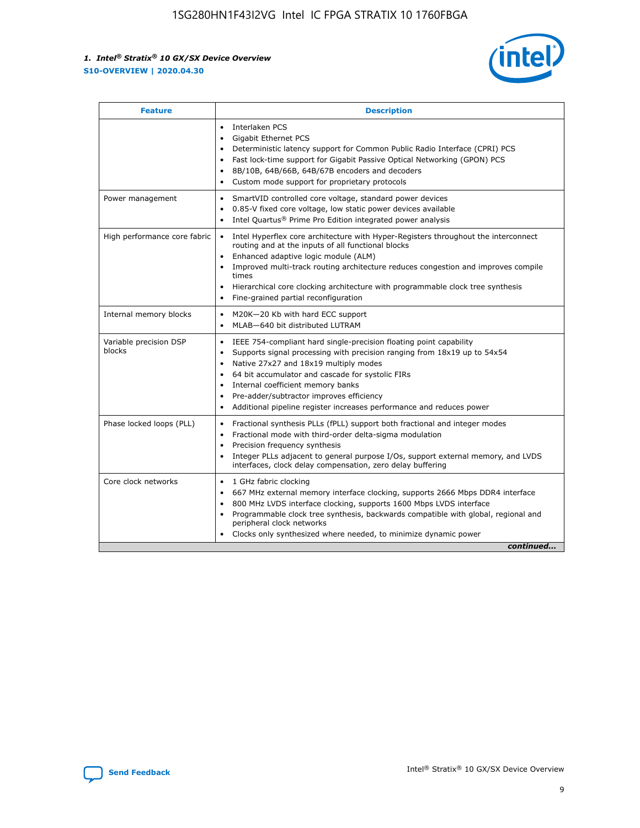

| <b>Feature</b>                   | <b>Description</b>                                                                                                                                                                                                                                                                                                                                                                                                                                                    |  |  |  |
|----------------------------------|-----------------------------------------------------------------------------------------------------------------------------------------------------------------------------------------------------------------------------------------------------------------------------------------------------------------------------------------------------------------------------------------------------------------------------------------------------------------------|--|--|--|
|                                  | Interlaken PCS<br>$\bullet$<br>Gigabit Ethernet PCS<br>$\bullet$<br>Deterministic latency support for Common Public Radio Interface (CPRI) PCS<br>$\bullet$<br>Fast lock-time support for Gigabit Passive Optical Networking (GPON) PCS<br>$\bullet$<br>8B/10B, 64B/66B, 64B/67B encoders and decoders<br>$\bullet$<br>Custom mode support for proprietary protocols<br>$\bullet$                                                                                     |  |  |  |
| Power management                 | SmartVID controlled core voltage, standard power devices<br>$\bullet$<br>0.85-V fixed core voltage, low static power devices available<br>$\bullet$<br>Intel Quartus <sup>®</sup> Prime Pro Edition integrated power analysis<br>$\bullet$                                                                                                                                                                                                                            |  |  |  |
| High performance core fabric     | Intel Hyperflex core architecture with Hyper-Registers throughout the interconnect<br>$\bullet$<br>routing and at the inputs of all functional blocks<br>Enhanced adaptive logic module (ALM)<br>$\bullet$<br>Improved multi-track routing architecture reduces congestion and improves compile<br>times<br>Hierarchical core clocking architecture with programmable clock tree synthesis<br>Fine-grained partial reconfiguration                                    |  |  |  |
| Internal memory blocks           | M20K-20 Kb with hard ECC support<br>٠<br>MLAB-640 bit distributed LUTRAM<br>$\bullet$                                                                                                                                                                                                                                                                                                                                                                                 |  |  |  |
| Variable precision DSP<br>blocks | IEEE 754-compliant hard single-precision floating point capability<br>$\bullet$<br>Supports signal processing with precision ranging from 18x19 up to 54x54<br>$\bullet$<br>Native 27x27 and 18x19 multiply modes<br>$\bullet$<br>64 bit accumulator and cascade for systolic FIRs<br>Internal coefficient memory banks<br>Pre-adder/subtractor improves efficiency<br>$\bullet$<br>Additional pipeline register increases performance and reduces power<br>$\bullet$ |  |  |  |
| Phase locked loops (PLL)         | Fractional synthesis PLLs (fPLL) support both fractional and integer modes<br>$\bullet$<br>Fractional mode with third-order delta-sigma modulation<br>Precision frequency synthesis<br>$\bullet$<br>Integer PLLs adjacent to general purpose I/Os, support external memory, and LVDS<br>$\bullet$<br>interfaces, clock delay compensation, zero delay buffering                                                                                                       |  |  |  |
| Core clock networks              | 1 GHz fabric clocking<br>$\bullet$<br>667 MHz external memory interface clocking, supports 2666 Mbps DDR4 interface<br>$\bullet$<br>800 MHz LVDS interface clocking, supports 1600 Mbps LVDS interface<br>$\bullet$<br>Programmable clock tree synthesis, backwards compatible with global, regional and<br>$\bullet$<br>peripheral clock networks<br>Clocks only synthesized where needed, to minimize dynamic power<br>continued                                    |  |  |  |

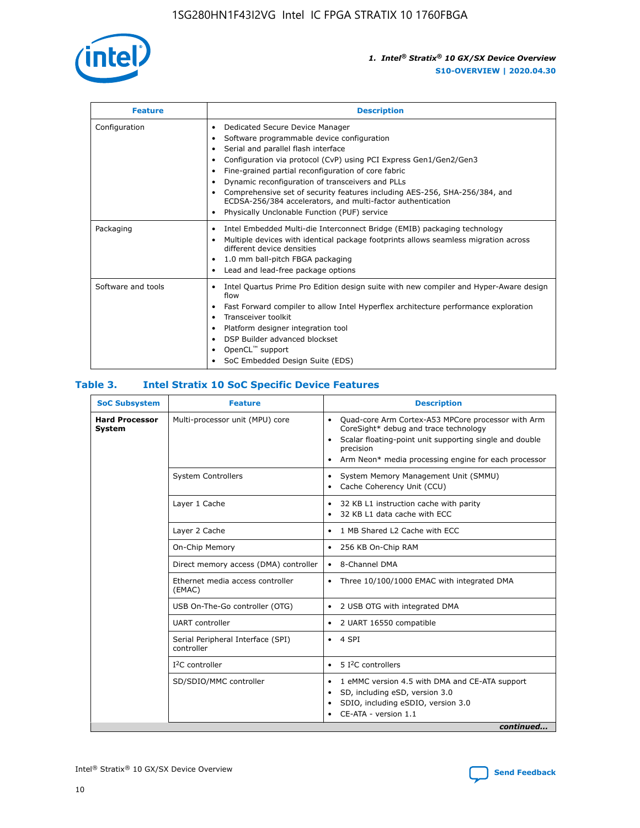

| <b>Feature</b>     | <b>Description</b>                                                                                                                                                                                                                                                                                                                                                                                                                                                                                                    |
|--------------------|-----------------------------------------------------------------------------------------------------------------------------------------------------------------------------------------------------------------------------------------------------------------------------------------------------------------------------------------------------------------------------------------------------------------------------------------------------------------------------------------------------------------------|
| Configuration      | Dedicated Secure Device Manager<br>٠<br>Software programmable device configuration<br>٠<br>Serial and parallel flash interface<br>٠<br>Configuration via protocol (CvP) using PCI Express Gen1/Gen2/Gen3<br>Fine-grained partial reconfiguration of core fabric<br>Dynamic reconfiguration of transceivers and PLLs<br>٠<br>Comprehensive set of security features including AES-256, SHA-256/384, and<br>ECDSA-256/384 accelerators, and multi-factor authentication<br>Physically Unclonable Function (PUF) service |
| Packaging          | Intel Embedded Multi-die Interconnect Bridge (EMIB) packaging technology<br>٠<br>Multiple devices with identical package footprints allows seamless migration across<br>٠<br>different device densities<br>1.0 mm ball-pitch FBGA packaging<br>٠<br>Lead and lead-free package options                                                                                                                                                                                                                                |
| Software and tools | Intel Quartus Prime Pro Edition design suite with new compiler and Hyper-Aware design<br>flow<br>Fast Forward compiler to allow Intel Hyperflex architecture performance exploration<br>٠<br>Transceiver toolkit<br>Platform designer integration tool<br>DSP Builder advanced blockset<br>OpenCL <sup>™</sup> support<br>SoC Embedded Design Suite (EDS)                                                                                                                                                             |

### **Table 3. Intel Stratix 10 SoC Specific Device Features**

| <b>Hard Processor</b><br>Multi-processor unit (MPU) core<br>Quad-core Arm Cortex-A53 MPCore processor with Arm<br>$\bullet$<br>CoreSight* debug and trace technology<br>System<br>Scalar floating-point unit supporting single and double<br>$\bullet$<br>precision<br>Arm Neon* media processing engine for each processor<br>$\bullet$<br><b>System Controllers</b><br>System Memory Management Unit (SMMU)<br>$\bullet$<br>Cache Coherency Unit (CCU)<br>$\bullet$<br>Layer 1 Cache<br>32 KB L1 instruction cache with parity<br>$\bullet$<br>32 KB L1 data cache with ECC<br>$\bullet$<br>Layer 2 Cache<br>1 MB Shared L2 Cache with ECC<br>$\bullet$<br>On-Chip Memory<br>256 KB On-Chip RAM<br>٠<br>Direct memory access (DMA) controller<br>8-Channel DMA<br>$\bullet$<br>Ethernet media access controller<br>Three 10/100/1000 EMAC with integrated DMA<br>$\bullet$<br>(EMAC)<br>USB On-The-Go controller (OTG)<br>2 USB OTG with integrated DMA<br>$\bullet$<br><b>UART</b> controller<br>2 UART 16550 compatible<br>$\bullet$<br>Serial Peripheral Interface (SPI)<br>4 SPI<br>$\bullet$<br>controller<br>$I2C$ controller<br>5 I <sup>2</sup> C controllers<br>$\bullet$<br>SD/SDIO/MMC controller<br>1 eMMC version 4.5 with DMA and CE-ATA support<br>$\bullet$<br>SD, including eSD, version 3.0<br>$\bullet$<br>SDIO, including eSDIO, version 3.0<br>$\bullet$<br>CE-ATA - version 1.1 | <b>SoC Subsystem</b> | <b>Feature</b> | <b>Description</b> |
|---------------------------------------------------------------------------------------------------------------------------------------------------------------------------------------------------------------------------------------------------------------------------------------------------------------------------------------------------------------------------------------------------------------------------------------------------------------------------------------------------------------------------------------------------------------------------------------------------------------------------------------------------------------------------------------------------------------------------------------------------------------------------------------------------------------------------------------------------------------------------------------------------------------------------------------------------------------------------------------------------------------------------------------------------------------------------------------------------------------------------------------------------------------------------------------------------------------------------------------------------------------------------------------------------------------------------------------------------------------------------------------------------------|----------------------|----------------|--------------------|
|                                                                                                                                                                                                                                                                                                                                                                                                                                                                                                                                                                                                                                                                                                                                                                                                                                                                                                                                                                                                                                                                                                                                                                                                                                                                                                                                                                                                         |                      |                |                    |
|                                                                                                                                                                                                                                                                                                                                                                                                                                                                                                                                                                                                                                                                                                                                                                                                                                                                                                                                                                                                                                                                                                                                                                                                                                                                                                                                                                                                         |                      |                |                    |
|                                                                                                                                                                                                                                                                                                                                                                                                                                                                                                                                                                                                                                                                                                                                                                                                                                                                                                                                                                                                                                                                                                                                                                                                                                                                                                                                                                                                         |                      |                |                    |
|                                                                                                                                                                                                                                                                                                                                                                                                                                                                                                                                                                                                                                                                                                                                                                                                                                                                                                                                                                                                                                                                                                                                                                                                                                                                                                                                                                                                         |                      |                |                    |
|                                                                                                                                                                                                                                                                                                                                                                                                                                                                                                                                                                                                                                                                                                                                                                                                                                                                                                                                                                                                                                                                                                                                                                                                                                                                                                                                                                                                         |                      |                |                    |
|                                                                                                                                                                                                                                                                                                                                                                                                                                                                                                                                                                                                                                                                                                                                                                                                                                                                                                                                                                                                                                                                                                                                                                                                                                                                                                                                                                                                         |                      |                |                    |
|                                                                                                                                                                                                                                                                                                                                                                                                                                                                                                                                                                                                                                                                                                                                                                                                                                                                                                                                                                                                                                                                                                                                                                                                                                                                                                                                                                                                         |                      |                |                    |
|                                                                                                                                                                                                                                                                                                                                                                                                                                                                                                                                                                                                                                                                                                                                                                                                                                                                                                                                                                                                                                                                                                                                                                                                                                                                                                                                                                                                         |                      |                |                    |
|                                                                                                                                                                                                                                                                                                                                                                                                                                                                                                                                                                                                                                                                                                                                                                                                                                                                                                                                                                                                                                                                                                                                                                                                                                                                                                                                                                                                         |                      |                |                    |
|                                                                                                                                                                                                                                                                                                                                                                                                                                                                                                                                                                                                                                                                                                                                                                                                                                                                                                                                                                                                                                                                                                                                                                                                                                                                                                                                                                                                         |                      |                |                    |
|                                                                                                                                                                                                                                                                                                                                                                                                                                                                                                                                                                                                                                                                                                                                                                                                                                                                                                                                                                                                                                                                                                                                                                                                                                                                                                                                                                                                         |                      |                |                    |
| continued                                                                                                                                                                                                                                                                                                                                                                                                                                                                                                                                                                                                                                                                                                                                                                                                                                                                                                                                                                                                                                                                                                                                                                                                                                                                                                                                                                                               |                      |                |                    |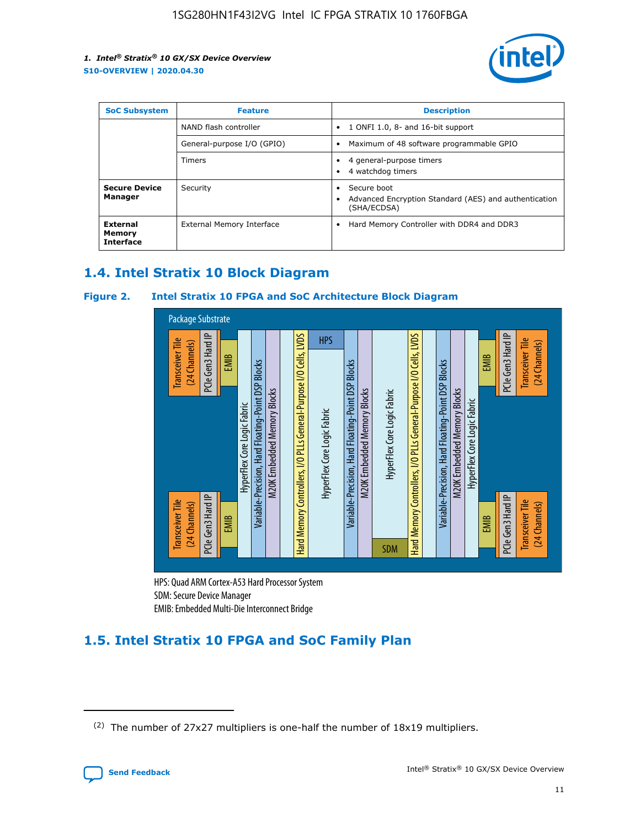

| <b>SoC Subsystem</b>                          | <b>Feature</b>             | <b>Description</b>                                                                                    |  |  |
|-----------------------------------------------|----------------------------|-------------------------------------------------------------------------------------------------------|--|--|
|                                               | NAND flash controller      | 1 ONFI 1.0, 8- and 16-bit support<br>$\bullet$                                                        |  |  |
|                                               | General-purpose I/O (GPIO) | Maximum of 48 software programmable GPIO<br>$\bullet$                                                 |  |  |
|                                               | <b>Timers</b>              | 4 general-purpose timers<br>٠<br>4 watchdog timers<br>٠                                               |  |  |
| <b>Secure Device</b><br>Manager               | Security                   | Secure boot<br>$\bullet$<br>Advanced Encryption Standard (AES) and authentication<br>٠<br>(SHA/ECDSA) |  |  |
| <b>External</b><br>Memory<br><b>Interface</b> | External Memory Interface  | Hard Memory Controller with DDR4 and DDR3<br>$\bullet$                                                |  |  |

### **1.4. Intel Stratix 10 Block Diagram**

### **Figure 2. Intel Stratix 10 FPGA and SoC Architecture Block Diagram**



HPS: Quad ARM Cortex-A53 Hard Processor System SDM: Secure Device Manager

### **1.5. Intel Stratix 10 FPGA and SoC Family Plan**

<sup>(2)</sup> The number of 27x27 multipliers is one-half the number of 18x19 multipliers.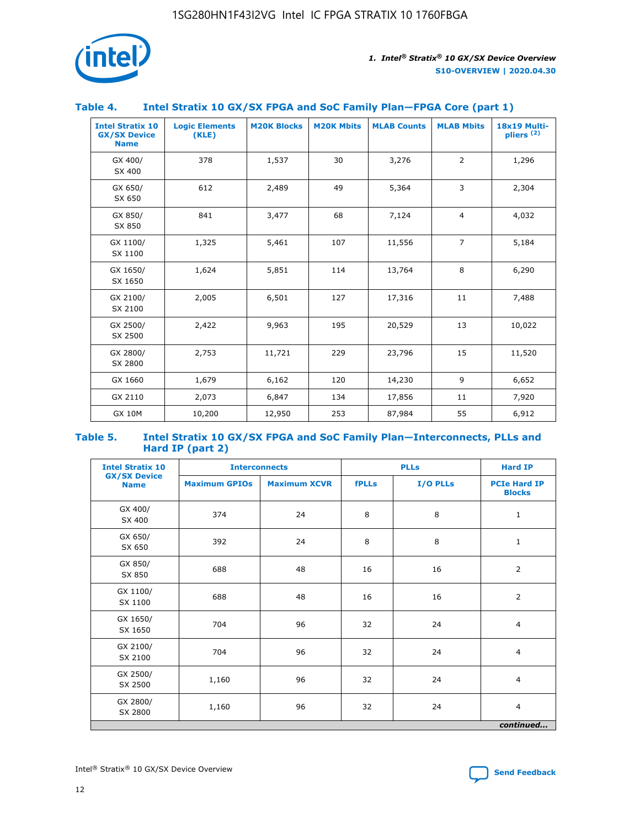

### **Table 4. Intel Stratix 10 GX/SX FPGA and SoC Family Plan—FPGA Core (part 1)**

| <b>Intel Stratix 10</b><br><b>GX/SX Device</b><br><b>Name</b> | <b>Logic Elements</b><br>(KLE) | <b>M20K Blocks</b> | <b>M20K Mbits</b> | <b>MLAB Counts</b> | <b>MLAB Mbits</b> | 18x19 Multi-<br>pliers <sup>(2)</sup> |
|---------------------------------------------------------------|--------------------------------|--------------------|-------------------|--------------------|-------------------|---------------------------------------|
| GX 400/<br>SX 400                                             | 378                            | 1,537              | 30                | 3,276              | $\overline{2}$    | 1,296                                 |
| GX 650/<br>SX 650                                             | 612                            | 2,489              | 49                | 5,364              | 3                 | 2,304                                 |
| GX 850/<br>SX 850                                             | 841                            | 3,477              | 68                | 7,124              | $\overline{4}$    | 4,032                                 |
| GX 1100/<br>SX 1100                                           | 1,325                          | 5,461              | 107               | 11,556             | $\overline{7}$    | 5,184                                 |
| GX 1650/<br>SX 1650                                           | 1,624                          | 5,851              | 114               | 13,764             | 8                 | 6,290                                 |
| GX 2100/<br>SX 2100                                           | 2,005                          | 6,501              | 127               | 17,316             | 11                | 7,488                                 |
| GX 2500/<br>SX 2500                                           | 2,422                          | 9,963              | 195               | 20,529             | 13                | 10,022                                |
| GX 2800/<br>SX 2800                                           | 2,753                          | 11,721             | 229               | 23,796             | 15                | 11,520                                |
| GX 1660                                                       | 1,679                          | 6,162              | 120               | 14,230             | 9                 | 6,652                                 |
| GX 2110                                                       | 2,073                          | 6,847              | 134               | 17,856             | 11                | 7,920                                 |
| <b>GX 10M</b>                                                 | 10,200                         | 12,950             | 253               | 87,984             | 55                | 6,912                                 |

#### **Table 5. Intel Stratix 10 GX/SX FPGA and SoC Family Plan—Interconnects, PLLs and Hard IP (part 2)**

| <b>Intel Stratix 10</b>            | <b>Interconnects</b> |                     | <b>PLLs</b>  |          | <b>Hard IP</b>                       |  |
|------------------------------------|----------------------|---------------------|--------------|----------|--------------------------------------|--|
| <b>GX/SX Device</b><br><b>Name</b> | <b>Maximum GPIOs</b> | <b>Maximum XCVR</b> | <b>fPLLs</b> | I/O PLLs | <b>PCIe Hard IP</b><br><b>Blocks</b> |  |
| GX 400/<br>SX 400                  | 374                  | 24                  | 8            | 8        | $\mathbf{1}$                         |  |
| GX 650/<br>SX 650                  | 392                  | 24                  | 8            | 8        | $\mathbf{1}$                         |  |
| GX 850/<br>SX 850                  | 688                  | 48                  | 16           | 16       | 2                                    |  |
| GX 1100/<br>SX 1100                | 688                  | 48                  | 16           | 16       | 2                                    |  |
| GX 1650/<br>SX 1650                | 704                  | 96                  | 32           | 24       | $\overline{4}$                       |  |
| GX 2100/<br>SX 2100                | 704                  | 96                  | 32           | 24       | $\overline{4}$                       |  |
| GX 2500/<br>SX 2500                | 1,160                | 96                  | 32           | 24       | $\overline{4}$                       |  |
| GX 2800/<br>SX 2800                | 1,160                | 96                  | 32           | 24       | $\overline{4}$                       |  |
| continued                          |                      |                     |              |          |                                      |  |

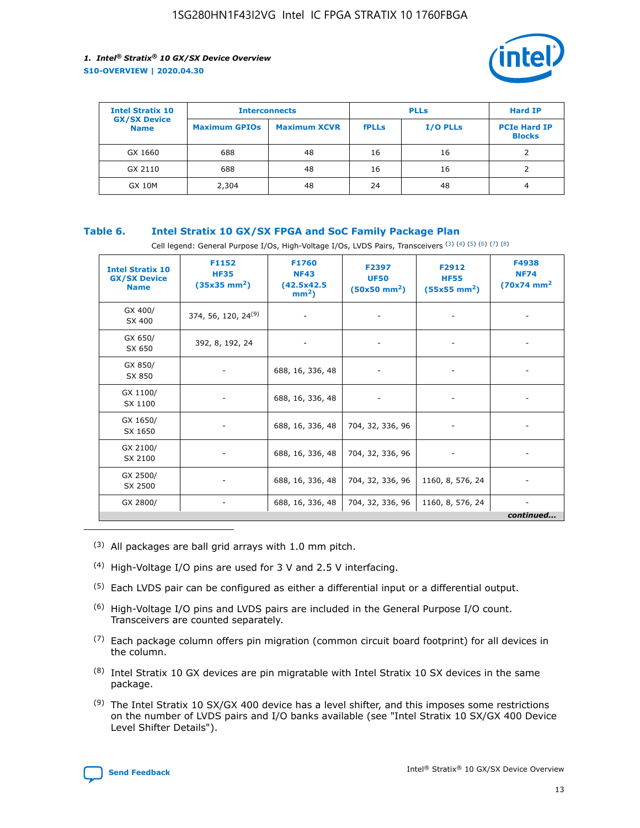

| <b>Intel Stratix 10</b>            | <b>Interconnects</b> |                     | <b>PLLs</b>  |                 | <b>Hard IP</b>                       |
|------------------------------------|----------------------|---------------------|--------------|-----------------|--------------------------------------|
| <b>GX/SX Device</b><br><b>Name</b> | <b>Maximum GPIOs</b> | <b>Maximum XCVR</b> | <b>fPLLs</b> | <b>I/O PLLs</b> | <b>PCIe Hard IP</b><br><b>Blocks</b> |
| GX 1660                            | 688                  | 48                  | 16           | 16              |                                      |
| GX 2110                            | 688                  | 48                  | 16           | 16              |                                      |
| <b>GX 10M</b>                      | 2,304                | 48                  | 24           | 48              | 4                                    |

### **Table 6. Intel Stratix 10 GX/SX FPGA and SoC Family Package Plan**

Cell legend: General Purpose I/Os, High-Voltage I/Os, LVDS Pairs, Transceivers (3) (4) (5) (6) (7) (8)

| <b>Intel Stratix 10</b><br><b>GX/SX Device</b><br><b>Name</b> | F1152<br><b>HF35</b><br>$(35x35 \text{ mm}^2)$ | F1760<br><b>NF43</b><br>(42.5x42.5<br>$mm2$ ) | F2397<br><b>UF50</b><br>$(50x50 \text{ mm}^2)$ | F2912<br><b>HF55</b><br>$(55x55$ mm <sup>2</sup> ) | F4938<br><b>NF74</b><br>$(70x74)$ mm <sup>2</sup> |
|---------------------------------------------------------------|------------------------------------------------|-----------------------------------------------|------------------------------------------------|----------------------------------------------------|---------------------------------------------------|
| GX 400/<br>SX 400                                             | 374, 56, 120, 24 <sup>(9)</sup>                | $\overline{\phantom{a}}$                      | $\overline{\phantom{a}}$                       | ۰                                                  |                                                   |
| GX 650/<br>SX 650                                             | 392, 8, 192, 24                                | $\overline{\phantom{a}}$                      | $\overline{\phantom{a}}$                       |                                                    |                                                   |
| GX 850/<br>SX 850                                             | ۰.                                             | 688, 16, 336, 48                              |                                                |                                                    |                                                   |
| GX 1100/<br>SX 1100                                           |                                                | 688, 16, 336, 48                              |                                                |                                                    |                                                   |
| GX 1650/<br>SX 1650                                           |                                                | 688, 16, 336, 48                              | 704, 32, 336, 96                               |                                                    |                                                   |
| GX 2100/<br>SX 2100                                           | -                                              | 688, 16, 336, 48                              | 704, 32, 336, 96                               | $\overline{\phantom{a}}$                           |                                                   |
| GX 2500/<br>SX 2500                                           |                                                | 688, 16, 336, 48                              | 704, 32, 336, 96                               | 1160, 8, 576, 24                                   |                                                   |
| GX 2800/                                                      | -                                              | 688, 16, 336, 48                              | 704, 32, 336, 96                               | 1160, 8, 576, 24                                   | $\overline{\phantom{a}}$<br>continued             |

- (3) All packages are ball grid arrays with 1.0 mm pitch.
- (4) High-Voltage I/O pins are used for 3 V and 2.5 V interfacing.
- $(5)$  Each LVDS pair can be configured as either a differential input or a differential output.
- (6) High-Voltage I/O pins and LVDS pairs are included in the General Purpose I/O count. Transceivers are counted separately.
- $(7)$  Each package column offers pin migration (common circuit board footprint) for all devices in the column.
- $(8)$  Intel Stratix 10 GX devices are pin migratable with Intel Stratix 10 SX devices in the same package.
- $(9)$  The Intel Stratix 10 SX/GX 400 device has a level shifter, and this imposes some restrictions on the number of LVDS pairs and I/O banks available (see "Intel Stratix 10 SX/GX 400 Device Level Shifter Details").

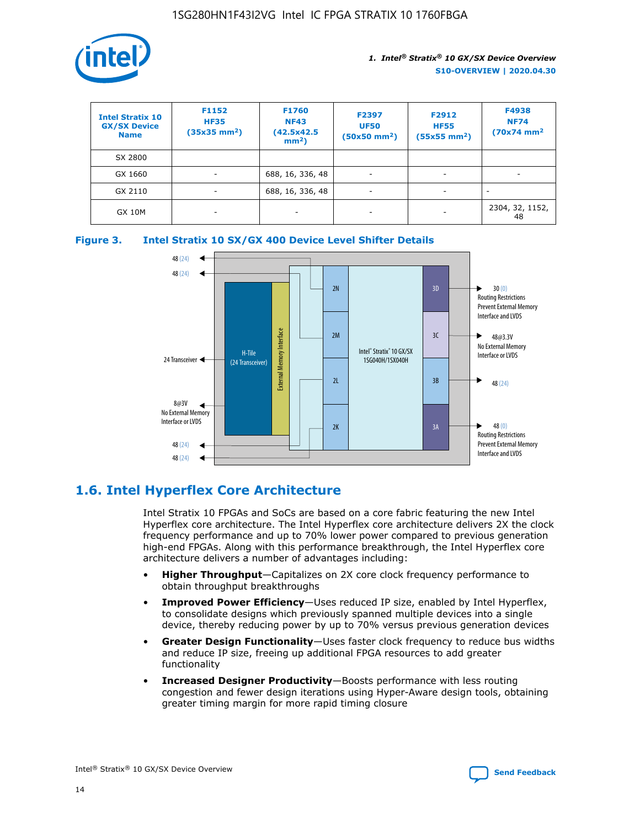

| <b>Intel Stratix 10</b><br><b>GX/SX Device</b><br><b>Name</b> | F1152<br><b>HF35</b><br>$(35x35)$ mm <sup>2</sup> ) | F1760<br><b>NF43</b><br>(42.5x42.5<br>$mm2$ ) | F2397<br><b>UF50</b><br>$(50x50 \text{ mm}^2)$ | F2912<br><b>HF55</b><br>$(55x55$ mm <sup>2</sup> ) | F4938<br><b>NF74</b><br>$(70x74)$ mm <sup>2</sup> |
|---------------------------------------------------------------|-----------------------------------------------------|-----------------------------------------------|------------------------------------------------|----------------------------------------------------|---------------------------------------------------|
| SX 2800                                                       |                                                     |                                               |                                                |                                                    |                                                   |
| GX 1660                                                       | -                                                   | 688, 16, 336, 48                              | $\overline{\phantom{a}}$                       |                                                    |                                                   |
| GX 2110                                                       |                                                     | 688, 16, 336, 48                              | $\overline{\phantom{a}}$                       |                                                    |                                                   |
| <b>GX 10M</b>                                                 | ۰                                                   |                                               |                                                |                                                    | 2304, 32, 1152,<br>48                             |





### **1.6. Intel Hyperflex Core Architecture**

Intel Stratix 10 FPGAs and SoCs are based on a core fabric featuring the new Intel Hyperflex core architecture. The Intel Hyperflex core architecture delivers 2X the clock frequency performance and up to 70% lower power compared to previous generation high-end FPGAs. Along with this performance breakthrough, the Intel Hyperflex core architecture delivers a number of advantages including:

- **Higher Throughput**—Capitalizes on 2X core clock frequency performance to obtain throughput breakthroughs
- **Improved Power Efficiency**—Uses reduced IP size, enabled by Intel Hyperflex, to consolidate designs which previously spanned multiple devices into a single device, thereby reducing power by up to 70% versus previous generation devices
- **Greater Design Functionality**—Uses faster clock frequency to reduce bus widths and reduce IP size, freeing up additional FPGA resources to add greater functionality
- **Increased Designer Productivity**—Boosts performance with less routing congestion and fewer design iterations using Hyper-Aware design tools, obtaining greater timing margin for more rapid timing closure

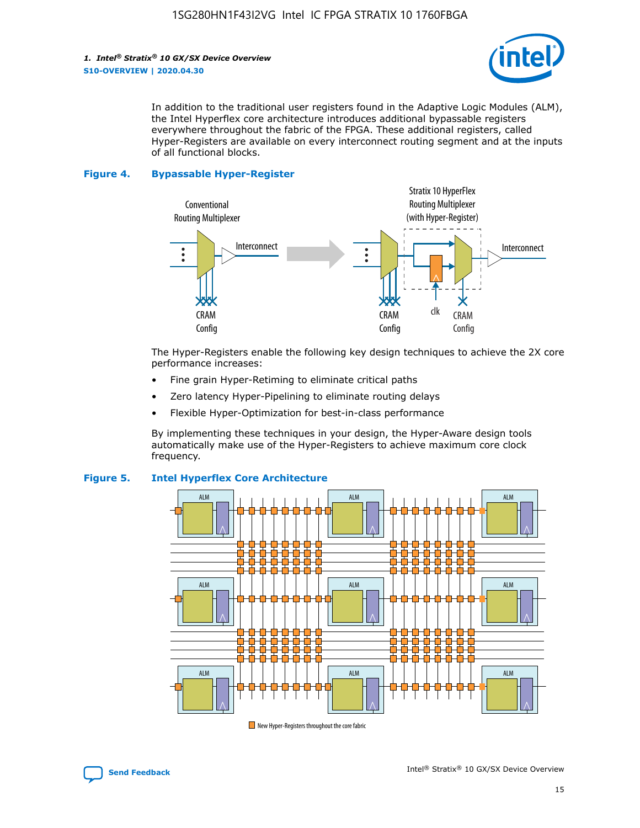

In addition to the traditional user registers found in the Adaptive Logic Modules (ALM), the Intel Hyperflex core architecture introduces additional bypassable registers everywhere throughout the fabric of the FPGA. These additional registers, called Hyper-Registers are available on every interconnect routing segment and at the inputs of all functional blocks.

#### **Figure 4. Bypassable Hyper-Register**



The Hyper-Registers enable the following key design techniques to achieve the 2X core performance increases:

- Fine grain Hyper-Retiming to eliminate critical paths
- Zero latency Hyper-Pipelining to eliminate routing delays
- Flexible Hyper-Optimization for best-in-class performance

By implementing these techniques in your design, the Hyper-Aware design tools automatically make use of the Hyper-Registers to achieve maximum core clock frequency.



### **Figure 5. Intel Hyperflex Core Architecture**

New Hyper-Registers throughout the core fabric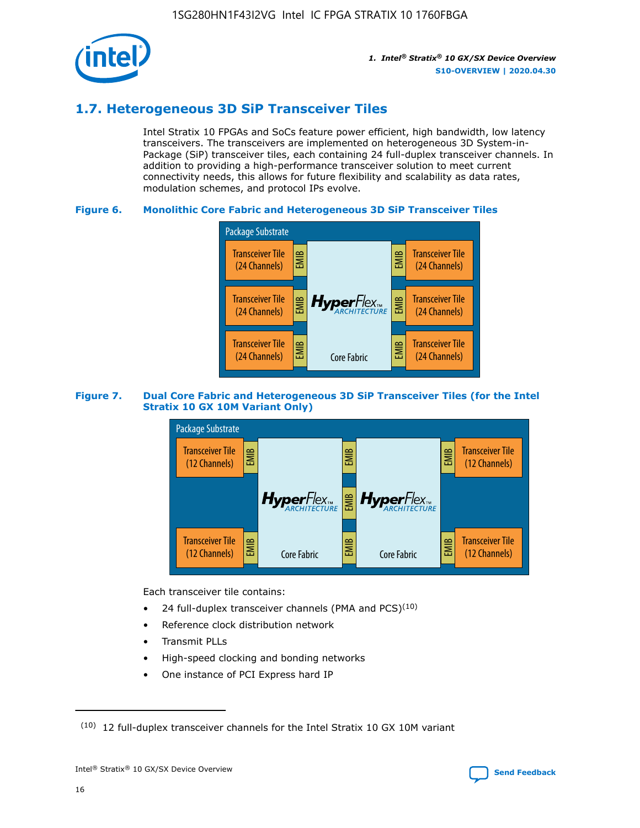

### **1.7. Heterogeneous 3D SiP Transceiver Tiles**

Intel Stratix 10 FPGAs and SoCs feature power efficient, high bandwidth, low latency transceivers. The transceivers are implemented on heterogeneous 3D System-in-Package (SiP) transceiver tiles, each containing 24 full-duplex transceiver channels. In addition to providing a high-performance transceiver solution to meet current connectivity needs, this allows for future flexibility and scalability as data rates, modulation schemes, and protocol IPs evolve.

### **Figure 6. Monolithic Core Fabric and Heterogeneous 3D SiP Transceiver Tiles**



### **Figure 7. Dual Core Fabric and Heterogeneous 3D SiP Transceiver Tiles (for the Intel Stratix 10 GX 10M Variant Only)**



Each transceiver tile contains:

- 24 full-duplex transceiver channels (PMA and PCS) $(10)$
- Reference clock distribution network
- Transmit PLLs
- High-speed clocking and bonding networks
- One instance of PCI Express hard IP

 $(10)$  12 full-duplex transceiver channels for the Intel Stratix 10 GX 10M variant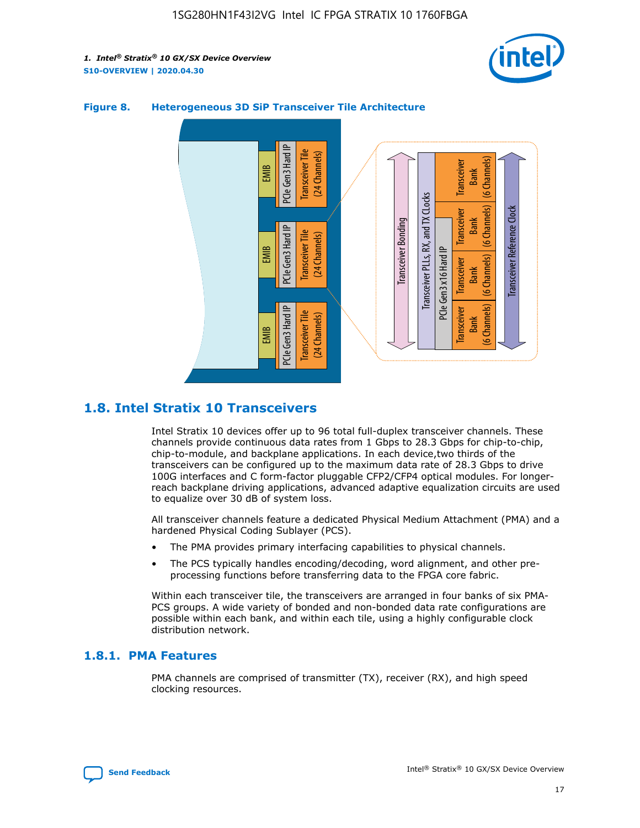



### **Figure 8. Heterogeneous 3D SiP Transceiver Tile Architecture**

### **1.8. Intel Stratix 10 Transceivers**

Intel Stratix 10 devices offer up to 96 total full-duplex transceiver channels. These channels provide continuous data rates from 1 Gbps to 28.3 Gbps for chip-to-chip, chip-to-module, and backplane applications. In each device,two thirds of the transceivers can be configured up to the maximum data rate of 28.3 Gbps to drive 100G interfaces and C form-factor pluggable CFP2/CFP4 optical modules. For longerreach backplane driving applications, advanced adaptive equalization circuits are used to equalize over 30 dB of system loss.

All transceiver channels feature a dedicated Physical Medium Attachment (PMA) and a hardened Physical Coding Sublayer (PCS).

- The PMA provides primary interfacing capabilities to physical channels.
- The PCS typically handles encoding/decoding, word alignment, and other preprocessing functions before transferring data to the FPGA core fabric.

Within each transceiver tile, the transceivers are arranged in four banks of six PMA-PCS groups. A wide variety of bonded and non-bonded data rate configurations are possible within each bank, and within each tile, using a highly configurable clock distribution network.

### **1.8.1. PMA Features**

PMA channels are comprised of transmitter (TX), receiver (RX), and high speed clocking resources.

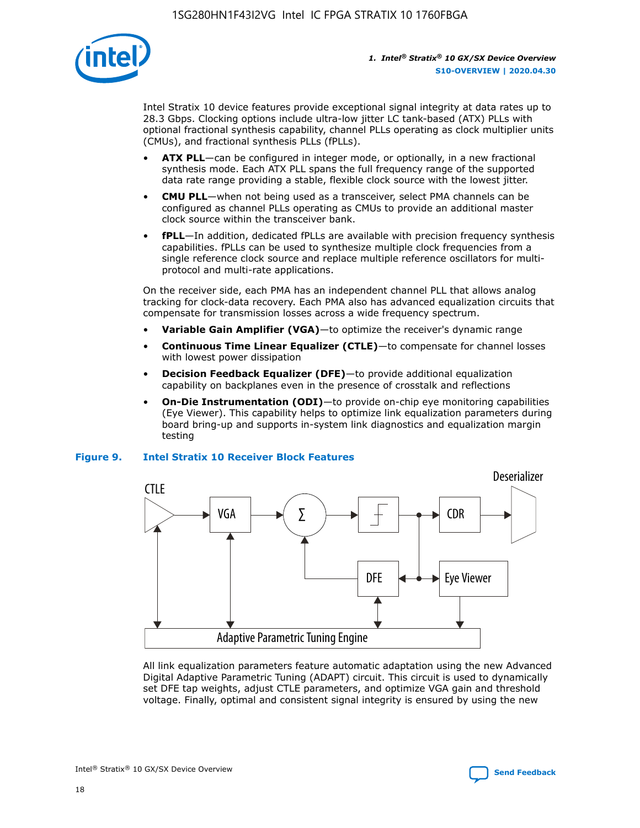

Intel Stratix 10 device features provide exceptional signal integrity at data rates up to 28.3 Gbps. Clocking options include ultra-low jitter LC tank-based (ATX) PLLs with optional fractional synthesis capability, channel PLLs operating as clock multiplier units (CMUs), and fractional synthesis PLLs (fPLLs).

- **ATX PLL**—can be configured in integer mode, or optionally, in a new fractional synthesis mode. Each ATX PLL spans the full frequency range of the supported data rate range providing a stable, flexible clock source with the lowest jitter.
- **CMU PLL**—when not being used as a transceiver, select PMA channels can be configured as channel PLLs operating as CMUs to provide an additional master clock source within the transceiver bank.
- **fPLL**—In addition, dedicated fPLLs are available with precision frequency synthesis capabilities. fPLLs can be used to synthesize multiple clock frequencies from a single reference clock source and replace multiple reference oscillators for multiprotocol and multi-rate applications.

On the receiver side, each PMA has an independent channel PLL that allows analog tracking for clock-data recovery. Each PMA also has advanced equalization circuits that compensate for transmission losses across a wide frequency spectrum.

- **Variable Gain Amplifier (VGA)**—to optimize the receiver's dynamic range
- **Continuous Time Linear Equalizer (CTLE)**—to compensate for channel losses with lowest power dissipation
- **Decision Feedback Equalizer (DFE)**—to provide additional equalization capability on backplanes even in the presence of crosstalk and reflections
- **On-Die Instrumentation (ODI)**—to provide on-chip eye monitoring capabilities (Eye Viewer). This capability helps to optimize link equalization parameters during board bring-up and supports in-system link diagnostics and equalization margin testing

#### **Figure 9. Intel Stratix 10 Receiver Block Features**



All link equalization parameters feature automatic adaptation using the new Advanced Digital Adaptive Parametric Tuning (ADAPT) circuit. This circuit is used to dynamically set DFE tap weights, adjust CTLE parameters, and optimize VGA gain and threshold voltage. Finally, optimal and consistent signal integrity is ensured by using the new



Intel<sup>®</sup> Stratix<sup>®</sup> 10 GX/SX Device Overview **[Send Feedback](mailto:FPGAtechdocfeedback@intel.com?subject=Feedback%20on%20Intel%20Stratix%2010%20GX/SX%20Device%20Overview%20(S10-OVERVIEW%202020.04.30)&body=We%20appreciate%20your%20feedback.%20In%20your%20comments,%20also%20specify%20the%20page%20number%20or%20paragraph.%20Thank%20you.)** Send Feedback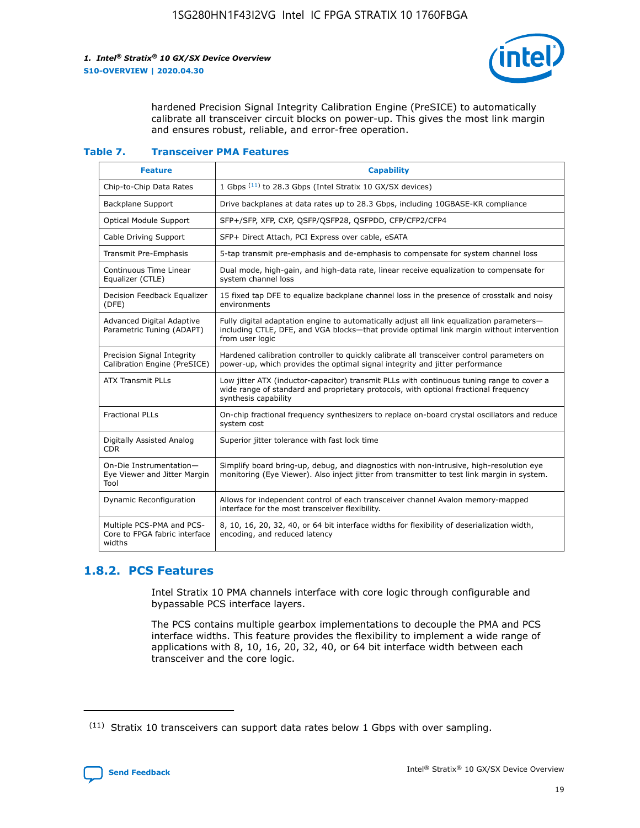

hardened Precision Signal Integrity Calibration Engine (PreSICE) to automatically calibrate all transceiver circuit blocks on power-up. This gives the most link margin and ensures robust, reliable, and error-free operation.

#### **Table 7. Transceiver PMA Features**

| <b>Feature</b>                                                       | <b>Capability</b>                                                                                                                                                                                         |
|----------------------------------------------------------------------|-----------------------------------------------------------------------------------------------------------------------------------------------------------------------------------------------------------|
| Chip-to-Chip Data Rates                                              | 1 Gbps (11) to 28.3 Gbps (Intel Stratix 10 GX/SX devices)                                                                                                                                                 |
| <b>Backplane Support</b>                                             | Drive backplanes at data rates up to 28.3 Gbps, including 10GBASE-KR compliance                                                                                                                           |
| Optical Module Support                                               | SFP+/SFP, XFP, CXP, QSFP/QSFP28, QSFPDD, CFP/CFP2/CFP4                                                                                                                                                    |
| Cable Driving Support                                                | SFP+ Direct Attach, PCI Express over cable, eSATA                                                                                                                                                         |
| <b>Transmit Pre-Emphasis</b>                                         | 5-tap transmit pre-emphasis and de-emphasis to compensate for system channel loss                                                                                                                         |
| Continuous Time Linear<br>Equalizer (CTLE)                           | Dual mode, high-gain, and high-data rate, linear receive equalization to compensate for<br>system channel loss                                                                                            |
| Decision Feedback Equalizer<br>(DFE)                                 | 15 fixed tap DFE to equalize backplane channel loss in the presence of crosstalk and noisy<br>environments                                                                                                |
| Advanced Digital Adaptive<br>Parametric Tuning (ADAPT)               | Fully digital adaptation engine to automatically adjust all link equalization parameters-<br>including CTLE, DFE, and VGA blocks-that provide optimal link margin without intervention<br>from user logic |
| Precision Signal Integrity<br>Calibration Engine (PreSICE)           | Hardened calibration controller to quickly calibrate all transceiver control parameters on<br>power-up, which provides the optimal signal integrity and jitter performance                                |
| <b>ATX Transmit PLLs</b>                                             | Low jitter ATX (inductor-capacitor) transmit PLLs with continuous tuning range to cover a<br>wide range of standard and proprietary protocols, with optional fractional frequency<br>synthesis capability |
| <b>Fractional PLLs</b>                                               | On-chip fractional frequency synthesizers to replace on-board crystal oscillators and reduce<br>system cost                                                                                               |
| Digitally Assisted Analog<br>CDR.                                    | Superior jitter tolerance with fast lock time                                                                                                                                                             |
| On-Die Instrumentation-<br>Eye Viewer and Jitter Margin<br>Tool      | Simplify board bring-up, debug, and diagnostics with non-intrusive, high-resolution eye<br>monitoring (Eye Viewer). Also inject jitter from transmitter to test link margin in system.                    |
| Dynamic Reconfiguration                                              | Allows for independent control of each transceiver channel Avalon memory-mapped<br>interface for the most transceiver flexibility.                                                                        |
| Multiple PCS-PMA and PCS-<br>Core to FPGA fabric interface<br>widths | 8, 10, 16, 20, 32, 40, or 64 bit interface widths for flexibility of deserialization width,<br>encoding, and reduced latency                                                                              |

### **1.8.2. PCS Features**

Intel Stratix 10 PMA channels interface with core logic through configurable and bypassable PCS interface layers.

The PCS contains multiple gearbox implementations to decouple the PMA and PCS interface widths. This feature provides the flexibility to implement a wide range of applications with 8, 10, 16, 20, 32, 40, or 64 bit interface width between each transceiver and the core logic.

<sup>(11)</sup> Stratix 10 transceivers can support data rates below 1 Gbps with over sampling.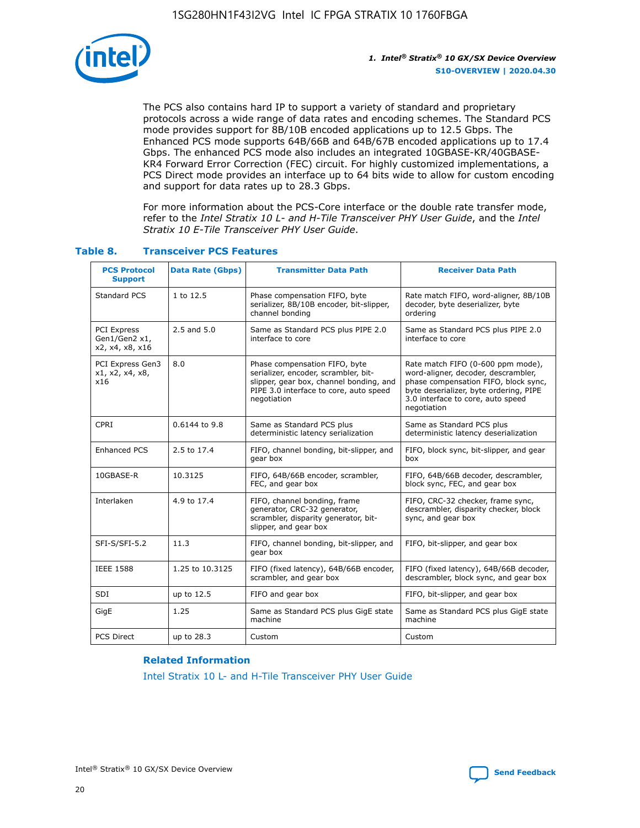

The PCS also contains hard IP to support a variety of standard and proprietary protocols across a wide range of data rates and encoding schemes. The Standard PCS mode provides support for 8B/10B encoded applications up to 12.5 Gbps. The Enhanced PCS mode supports 64B/66B and 64B/67B encoded applications up to 17.4 Gbps. The enhanced PCS mode also includes an integrated 10GBASE-KR/40GBASE-KR4 Forward Error Correction (FEC) circuit. For highly customized implementations, a PCS Direct mode provides an interface up to 64 bits wide to allow for custom encoding and support for data rates up to 28.3 Gbps.

For more information about the PCS-Core interface or the double rate transfer mode, refer to the *Intel Stratix 10 L- and H-Tile Transceiver PHY User Guide*, and the *Intel Stratix 10 E-Tile Transceiver PHY User Guide*.

| <b>PCS Protocol</b><br><b>Support</b>           | Data Rate (Gbps) | <b>Transmitter Data Path</b>                                                                                                                                              | <b>Receiver Data Path</b>                                                                                                                                                                                      |
|-------------------------------------------------|------------------|---------------------------------------------------------------------------------------------------------------------------------------------------------------------------|----------------------------------------------------------------------------------------------------------------------------------------------------------------------------------------------------------------|
| Standard PCS                                    | 1 to 12.5        | Phase compensation FIFO, byte<br>serializer, 8B/10B encoder, bit-slipper,<br>channel bonding                                                                              | Rate match FIFO, word-aligner, 8B/10B<br>decoder, byte deserializer, byte<br>ordering                                                                                                                          |
| PCI Express<br>Gen1/Gen2 x1,<br>x2, x4, x8, x16 | $2.5$ and $5.0$  | Same as Standard PCS plus PIPE 2.0<br>interface to core                                                                                                                   | Same as Standard PCS plus PIPE 2.0<br>interface to core                                                                                                                                                        |
| PCI Express Gen3<br>x1, x2, x4, x8,<br>x16      | 8.0              | Phase compensation FIFO, byte<br>serializer, encoder, scrambler, bit-<br>slipper, gear box, channel bonding, and<br>PIPE 3.0 interface to core, auto speed<br>negotiation | Rate match FIFO (0-600 ppm mode),<br>word-aligner, decoder, descrambler,<br>phase compensation FIFO, block sync,<br>byte deserializer, byte ordering, PIPE<br>3.0 interface to core, auto speed<br>negotiation |
| CPRI                                            | 0.6144 to 9.8    | Same as Standard PCS plus<br>deterministic latency serialization                                                                                                          | Same as Standard PCS plus<br>deterministic latency deserialization                                                                                                                                             |
| <b>Enhanced PCS</b>                             | 2.5 to 17.4      | FIFO, channel bonding, bit-slipper, and<br>gear box                                                                                                                       | FIFO, block sync, bit-slipper, and gear<br>box                                                                                                                                                                 |
| 10GBASE-R                                       | 10.3125          | FIFO, 64B/66B encoder, scrambler,<br>FEC, and gear box                                                                                                                    | FIFO, 64B/66B decoder, descrambler,<br>block sync, FEC, and gear box                                                                                                                                           |
| Interlaken                                      | 4.9 to 17.4      | FIFO, channel bonding, frame<br>generator, CRC-32 generator,<br>scrambler, disparity generator, bit-<br>slipper, and gear box                                             | FIFO, CRC-32 checker, frame sync,<br>descrambler, disparity checker, block<br>sync, and gear box                                                                                                               |
| SFI-S/SFI-5.2                                   | 11.3             | FIFO, channel bonding, bit-slipper, and<br>gear box                                                                                                                       | FIFO, bit-slipper, and gear box                                                                                                                                                                                |
| <b>IEEE 1588</b>                                | 1.25 to 10.3125  | FIFO (fixed latency), 64B/66B encoder,<br>scrambler, and gear box                                                                                                         | FIFO (fixed latency), 64B/66B decoder,<br>descrambler, block sync, and gear box                                                                                                                                |
| SDI                                             | up to 12.5       | FIFO and gear box                                                                                                                                                         | FIFO, bit-slipper, and gear box                                                                                                                                                                                |
| GigE                                            | 1.25             | Same as Standard PCS plus GigE state<br>machine                                                                                                                           | Same as Standard PCS plus GigE state<br>machine                                                                                                                                                                |
| <b>PCS Direct</b>                               | up to 28.3       | Custom                                                                                                                                                                    | Custom                                                                                                                                                                                                         |

### **Table 8. Transceiver PCS Features**

#### **Related Information**

[Intel Stratix 10 L- and H-Tile Transceiver PHY User Guide](https://www.altera.com/documentation/wry1479165198810.html)

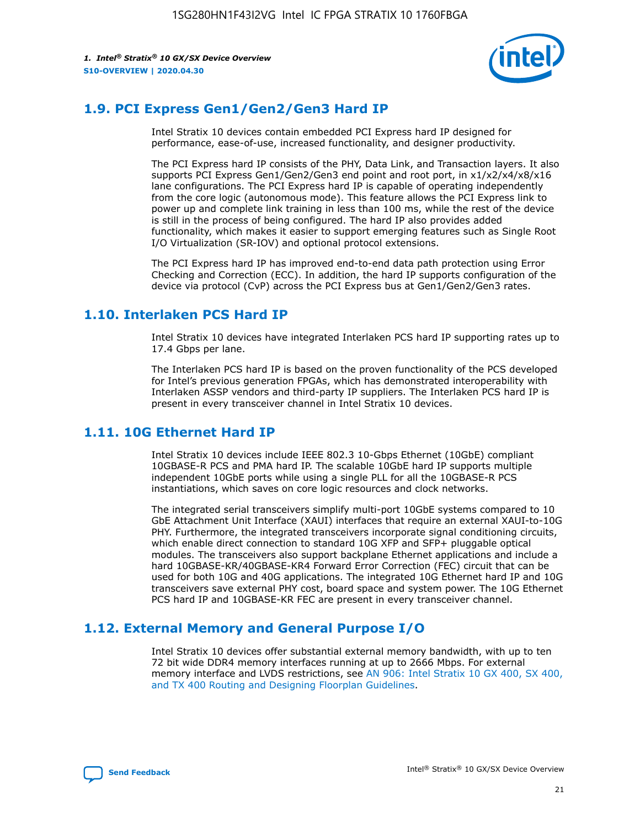

### **1.9. PCI Express Gen1/Gen2/Gen3 Hard IP**

Intel Stratix 10 devices contain embedded PCI Express hard IP designed for performance, ease-of-use, increased functionality, and designer productivity.

The PCI Express hard IP consists of the PHY, Data Link, and Transaction layers. It also supports PCI Express Gen1/Gen2/Gen3 end point and root port, in x1/x2/x4/x8/x16 lane configurations. The PCI Express hard IP is capable of operating independently from the core logic (autonomous mode). This feature allows the PCI Express link to power up and complete link training in less than 100 ms, while the rest of the device is still in the process of being configured. The hard IP also provides added functionality, which makes it easier to support emerging features such as Single Root I/O Virtualization (SR-IOV) and optional protocol extensions.

The PCI Express hard IP has improved end-to-end data path protection using Error Checking and Correction (ECC). In addition, the hard IP supports configuration of the device via protocol (CvP) across the PCI Express bus at Gen1/Gen2/Gen3 rates.

### **1.10. Interlaken PCS Hard IP**

Intel Stratix 10 devices have integrated Interlaken PCS hard IP supporting rates up to 17.4 Gbps per lane.

The Interlaken PCS hard IP is based on the proven functionality of the PCS developed for Intel's previous generation FPGAs, which has demonstrated interoperability with Interlaken ASSP vendors and third-party IP suppliers. The Interlaken PCS hard IP is present in every transceiver channel in Intel Stratix 10 devices.

### **1.11. 10G Ethernet Hard IP**

Intel Stratix 10 devices include IEEE 802.3 10-Gbps Ethernet (10GbE) compliant 10GBASE-R PCS and PMA hard IP. The scalable 10GbE hard IP supports multiple independent 10GbE ports while using a single PLL for all the 10GBASE-R PCS instantiations, which saves on core logic resources and clock networks.

The integrated serial transceivers simplify multi-port 10GbE systems compared to 10 GbE Attachment Unit Interface (XAUI) interfaces that require an external XAUI-to-10G PHY. Furthermore, the integrated transceivers incorporate signal conditioning circuits, which enable direct connection to standard 10G XFP and SFP+ pluggable optical modules. The transceivers also support backplane Ethernet applications and include a hard 10GBASE-KR/40GBASE-KR4 Forward Error Correction (FEC) circuit that can be used for both 10G and 40G applications. The integrated 10G Ethernet hard IP and 10G transceivers save external PHY cost, board space and system power. The 10G Ethernet PCS hard IP and 10GBASE-KR FEC are present in every transceiver channel.

### **1.12. External Memory and General Purpose I/O**

Intel Stratix 10 devices offer substantial external memory bandwidth, with up to ten 72 bit wide DDR4 memory interfaces running at up to 2666 Mbps. For external memory interface and LVDS restrictions, see [AN 906: Intel Stratix 10 GX 400, SX 400,](https://www.intel.com/content/www/us/en/programmable/documentation/sjf1574667190623.html#bft1574667627484) [and TX 400 Routing and Designing Floorplan Guidelines.](https://www.intel.com/content/www/us/en/programmable/documentation/sjf1574667190623.html#bft1574667627484)

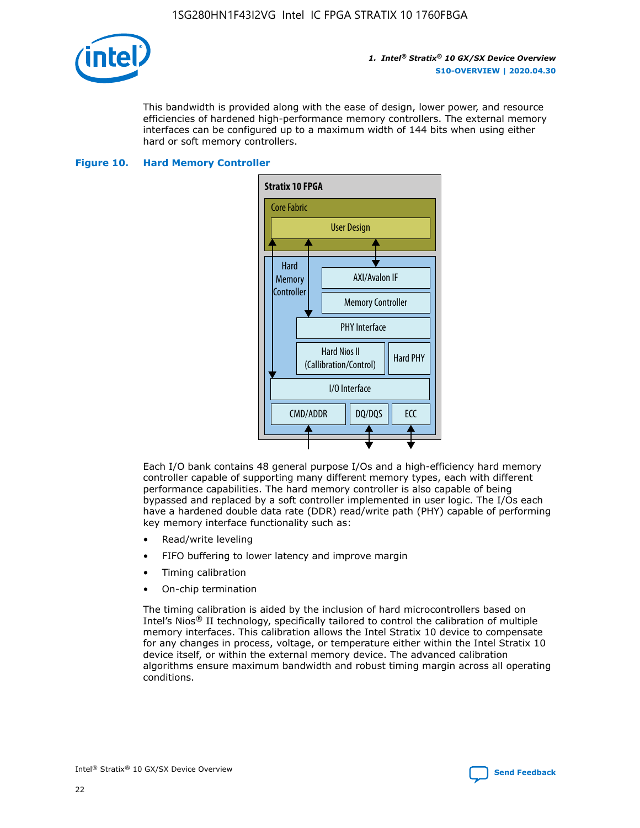

This bandwidth is provided along with the ease of design, lower power, and resource efficiencies of hardened high-performance memory controllers. The external memory interfaces can be configured up to a maximum width of 144 bits when using either hard or soft memory controllers.

#### **Figure 10. Hard Memory Controller**



Each I/O bank contains 48 general purpose I/Os and a high-efficiency hard memory controller capable of supporting many different memory types, each with different performance capabilities. The hard memory controller is also capable of being bypassed and replaced by a soft controller implemented in user logic. The I/Os each have a hardened double data rate (DDR) read/write path (PHY) capable of performing key memory interface functionality such as:

- Read/write leveling
- FIFO buffering to lower latency and improve margin
- Timing calibration
- On-chip termination

The timing calibration is aided by the inclusion of hard microcontrollers based on Intel's Nios® II technology, specifically tailored to control the calibration of multiple memory interfaces. This calibration allows the Intel Stratix 10 device to compensate for any changes in process, voltage, or temperature either within the Intel Stratix 10 device itself, or within the external memory device. The advanced calibration algorithms ensure maximum bandwidth and robust timing margin across all operating conditions.

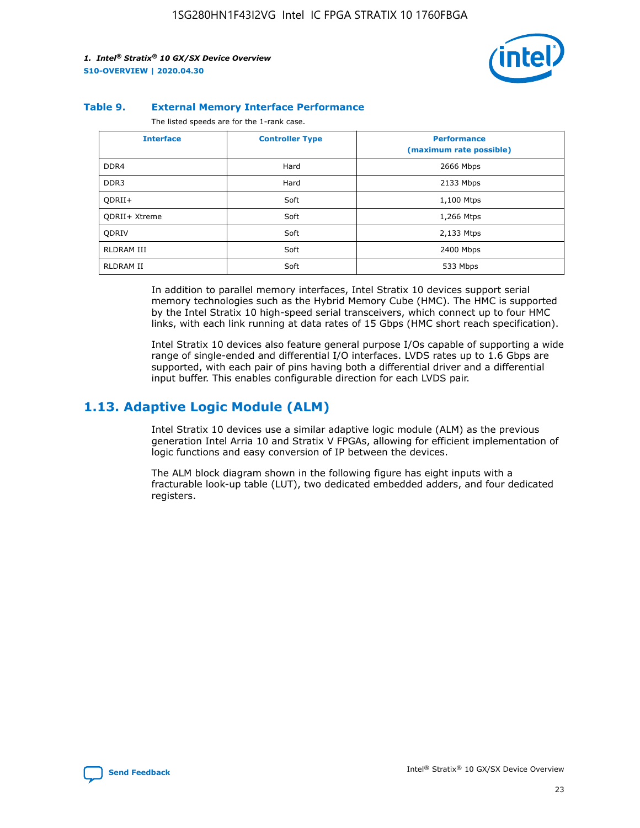

#### **Table 9. External Memory Interface Performance**

The listed speeds are for the 1-rank case.

| <b>Interface</b> | <b>Controller Type</b> | <b>Performance</b><br>(maximum rate possible) |
|------------------|------------------------|-----------------------------------------------|
| DDR4             | Hard                   | 2666 Mbps                                     |
| DDR <sub>3</sub> | Hard                   | 2133 Mbps                                     |
| QDRII+           | Soft                   | 1,100 Mtps                                    |
| QDRII+ Xtreme    | Soft                   | 1,266 Mtps                                    |
| <b>ODRIV</b>     | Soft                   | 2,133 Mtps                                    |
| RLDRAM III       | Soft                   | 2400 Mbps                                     |
| <b>RLDRAM II</b> | Soft                   | 533 Mbps                                      |

In addition to parallel memory interfaces, Intel Stratix 10 devices support serial memory technologies such as the Hybrid Memory Cube (HMC). The HMC is supported by the Intel Stratix 10 high-speed serial transceivers, which connect up to four HMC links, with each link running at data rates of 15 Gbps (HMC short reach specification).

Intel Stratix 10 devices also feature general purpose I/Os capable of supporting a wide range of single-ended and differential I/O interfaces. LVDS rates up to 1.6 Gbps are supported, with each pair of pins having both a differential driver and a differential input buffer. This enables configurable direction for each LVDS pair.

### **1.13. Adaptive Logic Module (ALM)**

Intel Stratix 10 devices use a similar adaptive logic module (ALM) as the previous generation Intel Arria 10 and Stratix V FPGAs, allowing for efficient implementation of logic functions and easy conversion of IP between the devices.

The ALM block diagram shown in the following figure has eight inputs with a fracturable look-up table (LUT), two dedicated embedded adders, and four dedicated registers.

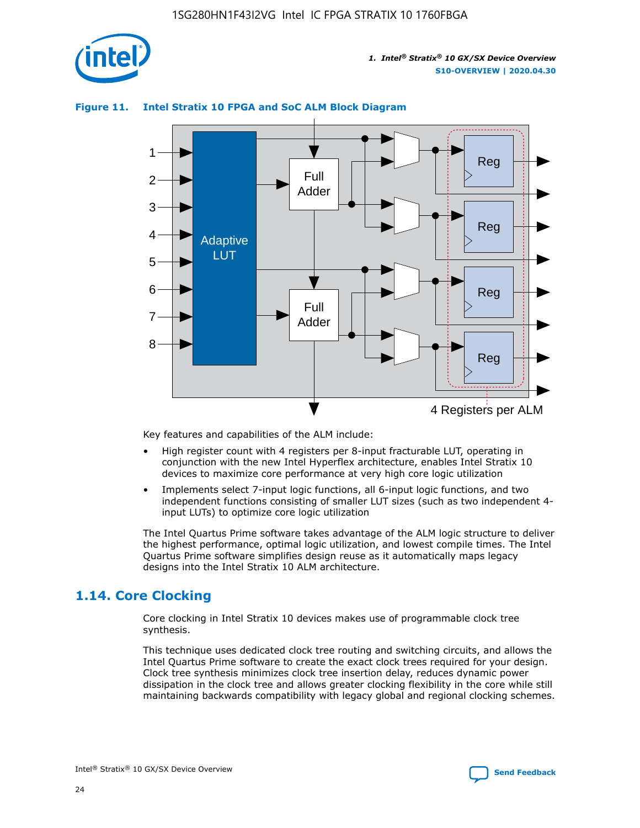

### **Figure 11. Intel Stratix 10 FPGA and SoC ALM Block Diagram**



Key features and capabilities of the ALM include:

- High register count with 4 registers per 8-input fracturable LUT, operating in conjunction with the new Intel Hyperflex architecture, enables Intel Stratix 10 devices to maximize core performance at very high core logic utilization
- Implements select 7-input logic functions, all 6-input logic functions, and two independent functions consisting of smaller LUT sizes (such as two independent 4 input LUTs) to optimize core logic utilization

The Intel Quartus Prime software takes advantage of the ALM logic structure to deliver the highest performance, optimal logic utilization, and lowest compile times. The Intel Quartus Prime software simplifies design reuse as it automatically maps legacy designs into the Intel Stratix 10 ALM architecture.

### **1.14. Core Clocking**

Core clocking in Intel Stratix 10 devices makes use of programmable clock tree synthesis.

This technique uses dedicated clock tree routing and switching circuits, and allows the Intel Quartus Prime software to create the exact clock trees required for your design. Clock tree synthesis minimizes clock tree insertion delay, reduces dynamic power dissipation in the clock tree and allows greater clocking flexibility in the core while still maintaining backwards compatibility with legacy global and regional clocking schemes.

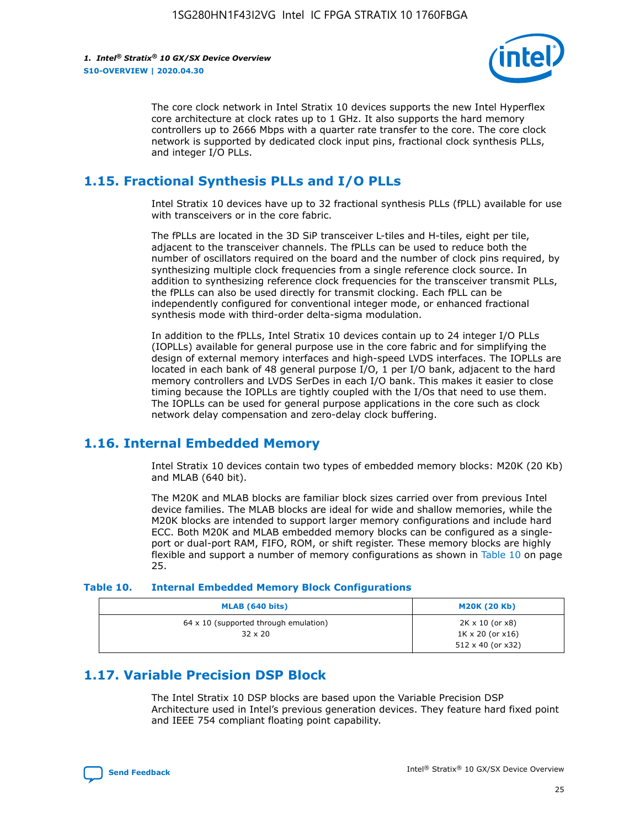

The core clock network in Intel Stratix 10 devices supports the new Intel Hyperflex core architecture at clock rates up to 1 GHz. It also supports the hard memory controllers up to 2666 Mbps with a quarter rate transfer to the core. The core clock network is supported by dedicated clock input pins, fractional clock synthesis PLLs, and integer I/O PLLs.

### **1.15. Fractional Synthesis PLLs and I/O PLLs**

Intel Stratix 10 devices have up to 32 fractional synthesis PLLs (fPLL) available for use with transceivers or in the core fabric.

The fPLLs are located in the 3D SiP transceiver L-tiles and H-tiles, eight per tile, adjacent to the transceiver channels. The fPLLs can be used to reduce both the number of oscillators required on the board and the number of clock pins required, by synthesizing multiple clock frequencies from a single reference clock source. In addition to synthesizing reference clock frequencies for the transceiver transmit PLLs, the fPLLs can also be used directly for transmit clocking. Each fPLL can be independently configured for conventional integer mode, or enhanced fractional synthesis mode with third-order delta-sigma modulation.

In addition to the fPLLs, Intel Stratix 10 devices contain up to 24 integer I/O PLLs (IOPLLs) available for general purpose use in the core fabric and for simplifying the design of external memory interfaces and high-speed LVDS interfaces. The IOPLLs are located in each bank of 48 general purpose I/O, 1 per I/O bank, adjacent to the hard memory controllers and LVDS SerDes in each I/O bank. This makes it easier to close timing because the IOPLLs are tightly coupled with the I/Os that need to use them. The IOPLLs can be used for general purpose applications in the core such as clock network delay compensation and zero-delay clock buffering.

### **1.16. Internal Embedded Memory**

Intel Stratix 10 devices contain two types of embedded memory blocks: M20K (20 Kb) and MLAB (640 bit).

The M20K and MLAB blocks are familiar block sizes carried over from previous Intel device families. The MLAB blocks are ideal for wide and shallow memories, while the M20K blocks are intended to support larger memory configurations and include hard ECC. Both M20K and MLAB embedded memory blocks can be configured as a singleport or dual-port RAM, FIFO, ROM, or shift register. These memory blocks are highly flexible and support a number of memory configurations as shown in Table 10 on page 25.

#### **Table 10. Internal Embedded Memory Block Configurations**

| MLAB (640 bits)                                                | <b>M20K (20 Kb)</b>                                                                    |
|----------------------------------------------------------------|----------------------------------------------------------------------------------------|
| $64 \times 10$ (supported through emulation)<br>$32 \times 20$ | $2K \times 10$ (or $x8$ )<br>$1K \times 20$ (or $x16$ )<br>$512 \times 40$ (or $x32$ ) |

### **1.17. Variable Precision DSP Block**

The Intel Stratix 10 DSP blocks are based upon the Variable Precision DSP Architecture used in Intel's previous generation devices. They feature hard fixed point and IEEE 754 compliant floating point capability.

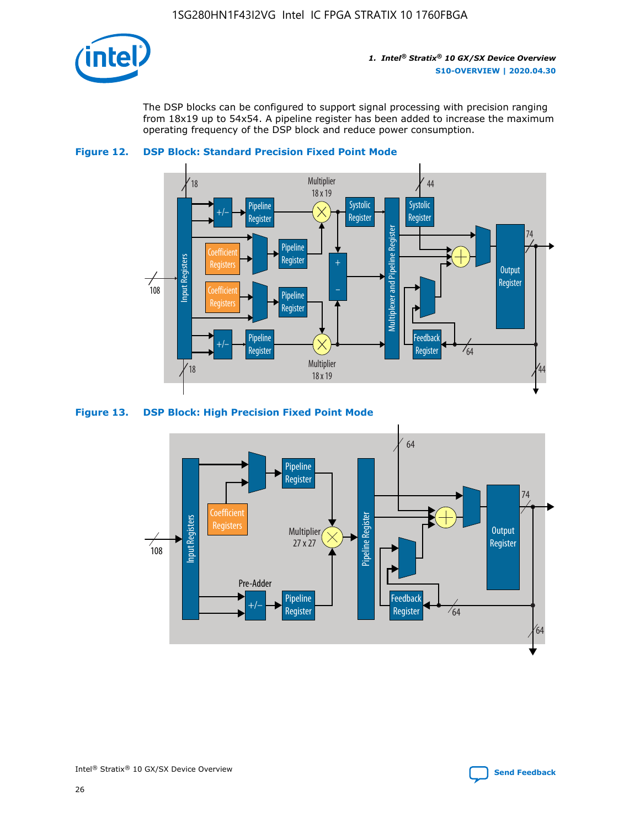

The DSP blocks can be configured to support signal processing with precision ranging from 18x19 up to 54x54. A pipeline register has been added to increase the maximum operating frequency of the DSP block and reduce power consumption.





#### **Figure 13. DSP Block: High Precision Fixed Point Mode**

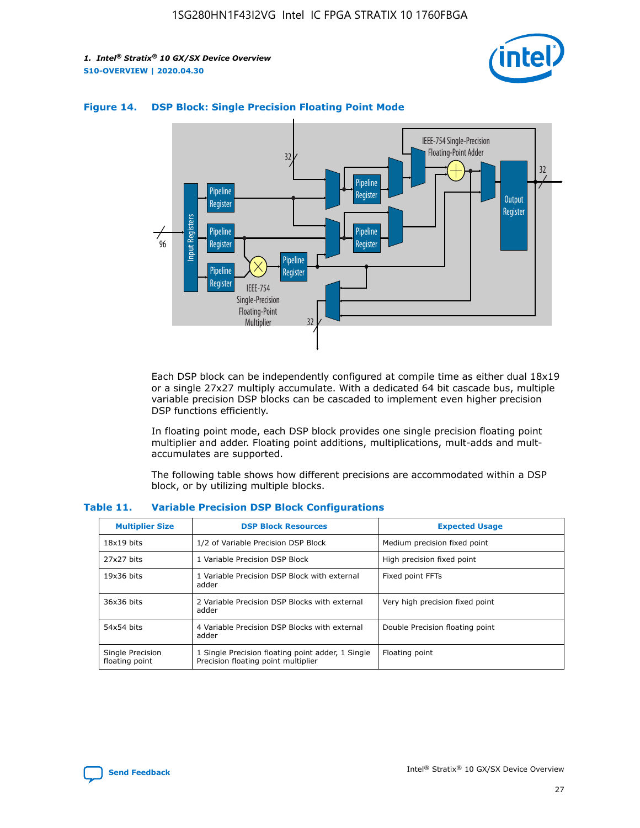



### **Figure 14. DSP Block: Single Precision Floating Point Mode**

Each DSP block can be independently configured at compile time as either dual 18x19 or a single 27x27 multiply accumulate. With a dedicated 64 bit cascade bus, multiple variable precision DSP blocks can be cascaded to implement even higher precision DSP functions efficiently.

In floating point mode, each DSP block provides one single precision floating point multiplier and adder. Floating point additions, multiplications, mult-adds and multaccumulates are supported.

The following table shows how different precisions are accommodated within a DSP block, or by utilizing multiple blocks.

| <b>Multiplier Size</b>             | <b>DSP Block Resources</b>                                                               | <b>Expected Usage</b>           |
|------------------------------------|------------------------------------------------------------------------------------------|---------------------------------|
| $18x19$ bits                       | 1/2 of Variable Precision DSP Block                                                      | Medium precision fixed point    |
| 27x27 bits                         | 1 Variable Precision DSP Block                                                           | High precision fixed point      |
| $19x36$ bits                       | 1 Variable Precision DSP Block with external<br>adder                                    | Fixed point FFTs                |
| 36x36 bits                         | 2 Variable Precision DSP Blocks with external<br>adder                                   | Very high precision fixed point |
| 54x54 bits                         | 4 Variable Precision DSP Blocks with external<br>adder                                   | Double Precision floating point |
| Single Precision<br>floating point | 1 Single Precision floating point adder, 1 Single<br>Precision floating point multiplier | Floating point                  |

#### **Table 11. Variable Precision DSP Block Configurations**

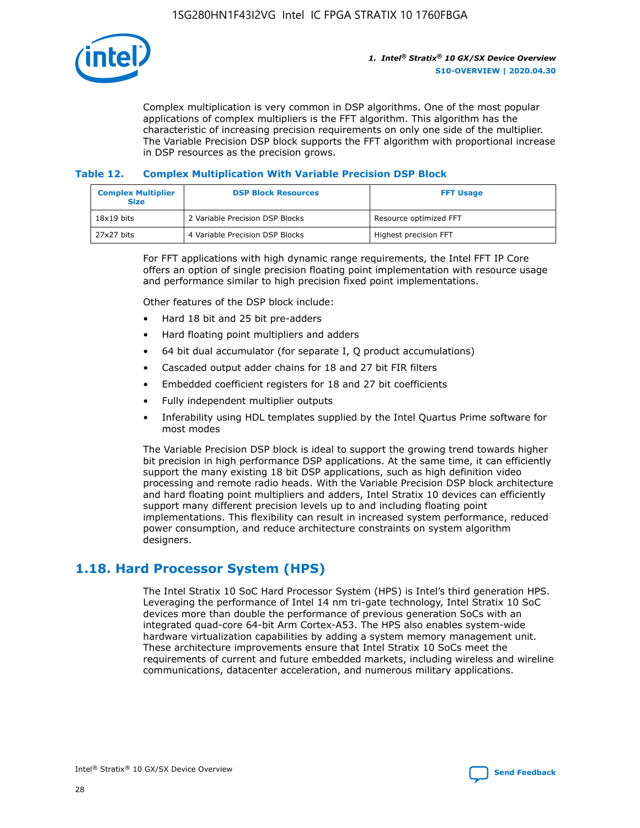

Complex multiplication is very common in DSP algorithms. One of the most popular applications of complex multipliers is the FFT algorithm. This algorithm has the characteristic of increasing precision requirements on only one side of the multiplier. The Variable Precision DSP block supports the FFT algorithm with proportional increase in DSP resources as the precision grows.

### **Table 12. Complex Multiplication With Variable Precision DSP Block**

| <b>Complex Multiplier</b><br><b>Size</b> | <b>DSP Block Resources</b>      | <b>FFT Usage</b>       |
|------------------------------------------|---------------------------------|------------------------|
| $18x19$ bits                             | 2 Variable Precision DSP Blocks | Resource optimized FFT |
| 27x27 bits                               | 4 Variable Precision DSP Blocks | Highest precision FFT  |

For FFT applications with high dynamic range requirements, the Intel FFT IP Core offers an option of single precision floating point implementation with resource usage and performance similar to high precision fixed point implementations.

Other features of the DSP block include:

- Hard 18 bit and 25 bit pre-adders
- Hard floating point multipliers and adders
- 64 bit dual accumulator (for separate I, Q product accumulations)
- Cascaded output adder chains for 18 and 27 bit FIR filters
- Embedded coefficient registers for 18 and 27 bit coefficients
- Fully independent multiplier outputs
- Inferability using HDL templates supplied by the Intel Quartus Prime software for most modes

The Variable Precision DSP block is ideal to support the growing trend towards higher bit precision in high performance DSP applications. At the same time, it can efficiently support the many existing 18 bit DSP applications, such as high definition video processing and remote radio heads. With the Variable Precision DSP block architecture and hard floating point multipliers and adders, Intel Stratix 10 devices can efficiently support many different precision levels up to and including floating point implementations. This flexibility can result in increased system performance, reduced power consumption, and reduce architecture constraints on system algorithm designers.

### **1.18. Hard Processor System (HPS)**

The Intel Stratix 10 SoC Hard Processor System (HPS) is Intel's third generation HPS. Leveraging the performance of Intel 14 nm tri-gate technology, Intel Stratix 10 SoC devices more than double the performance of previous generation SoCs with an integrated quad-core 64-bit Arm Cortex-A53. The HPS also enables system-wide hardware virtualization capabilities by adding a system memory management unit. These architecture improvements ensure that Intel Stratix 10 SoCs meet the requirements of current and future embedded markets, including wireless and wireline communications, datacenter acceleration, and numerous military applications.

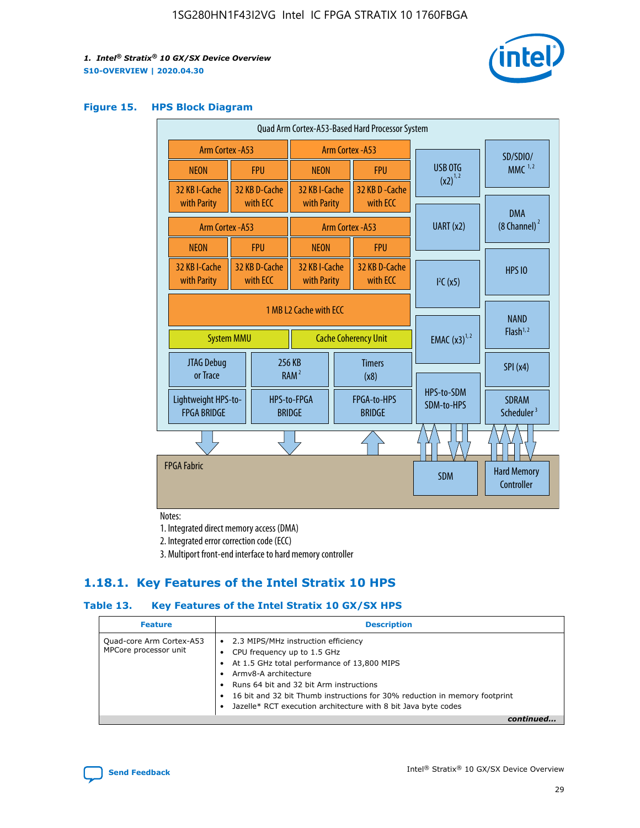

#### **Figure 15. HPS Block Diagram**

| Quad Arm Cortex-A53-Based Hard Processor System |  |                                                       |                              |                          |                                     |                          |                                        |
|-------------------------------------------------|--|-------------------------------------------------------|------------------------------|--------------------------|-------------------------------------|--------------------------|----------------------------------------|
| <b>Arm Cortex - A53</b>                         |  |                                                       | Arm Cortex - A53             |                          |                                     | SD/SDIO/                 |                                        |
| <b>NEON</b>                                     |  | <b>FPU</b>                                            | <b>NEON</b>                  |                          | <b>FPU</b>                          | <b>USB OTG</b>           | $MMC$ <sup>1,2</sup>                   |
| 32 KB I-Cache                                   |  | 32 KB D-Cache<br>with ECC                             | 32 KB I-Cache                |                          | 32 KB D - Cache<br>with ECC         | $(x2)^{1,2}$             |                                        |
| with Parity                                     |  |                                                       | with Parity                  |                          |                                     |                          | <b>DMA</b>                             |
| <b>Arm Cortex - A53</b>                         |  |                                                       |                              |                          | Arm Cortex - A53                    | UART (x2)                | $(8$ Channel) $^2$                     |
| <b>NEON</b>                                     |  | <b>FPU</b>                                            | <b>NEON</b>                  |                          | <b>FPU</b>                          |                          |                                        |
| 32 KB I-Cache<br>with Parity                    |  | 32 KB D-Cache<br>with ECC                             | 32 KB I-Cache<br>with Parity |                          | 32 KB D-Cache<br>with FCC           | I <sup>2</sup> C(x5)     | <b>HPS 10</b>                          |
| <b>System MMU</b>                               |  | 1 MB 12 Cache with FCC<br><b>Cache Coherency Unit</b> |                              | <b>EMAC</b> $(x3)^{1,2}$ | <b>NAND</b><br>Flash <sup>1,2</sup> |                          |                                        |
| JTAG Debug<br>or Trace                          |  |                                                       | 256 KB<br>RAM <sup>2</sup>   | <b>Timers</b><br>(x8)    |                                     |                          | SPI(x4)                                |
| Lightweight HPS-to-<br><b>FPGA BRIDGE</b>       |  |                                                       | HPS-to-FPGA<br><b>BRIDGE</b> |                          | FPGA-to-HPS<br><b>BRIDGE</b>        | HPS-to-SDM<br>SDM-to-HPS | <b>SDRAM</b><br>Scheduler <sup>3</sup> |
|                                                 |  |                                                       |                              |                          |                                     |                          |                                        |
| <b>FPGA Fabric</b>                              |  |                                                       |                              |                          |                                     | <b>SDM</b>               | <b>Hard Memory</b><br>Controller       |

Notes:

1. Integrated direct memory access (DMA)

2. Integrated error correction code (ECC)

3. Multiport front-end interface to hard memory controller

### **1.18.1. Key Features of the Intel Stratix 10 HPS**

### **Table 13. Key Features of the Intel Stratix 10 GX/SX HPS**

| <b>Feature</b>                                    | <b>Description</b>                                                                                                                                                                                                                                                                                                                                     |
|---------------------------------------------------|--------------------------------------------------------------------------------------------------------------------------------------------------------------------------------------------------------------------------------------------------------------------------------------------------------------------------------------------------------|
| Quad-core Arm Cortex-A53<br>MPCore processor unit | 2.3 MIPS/MHz instruction efficiency<br>$\bullet$<br>CPU frequency up to 1.5 GHz<br>٠<br>At 1.5 GHz total performance of 13,800 MIPS<br>Army8-A architecture<br>Runs 64 bit and 32 bit Arm instructions<br>16 bit and 32 bit Thumb instructions for 30% reduction in memory footprint<br>Jazelle* RCT execution architecture with 8 bit Java byte codes |
|                                                   |                                                                                                                                                                                                                                                                                                                                                        |

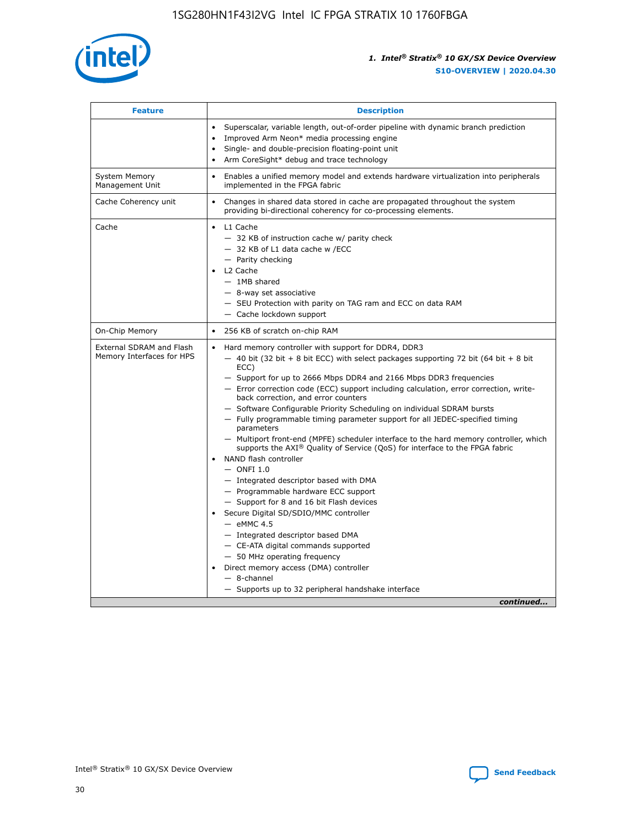

| <b>Feature</b>                                        | <b>Description</b>                                                                                                                                                                                                                                                                                                                                                                                                                                                                                                                                                                                                                                                                                                                                                                                                                                                                                                                                                                                                                                                                                                                                                                                                     |
|-------------------------------------------------------|------------------------------------------------------------------------------------------------------------------------------------------------------------------------------------------------------------------------------------------------------------------------------------------------------------------------------------------------------------------------------------------------------------------------------------------------------------------------------------------------------------------------------------------------------------------------------------------------------------------------------------------------------------------------------------------------------------------------------------------------------------------------------------------------------------------------------------------------------------------------------------------------------------------------------------------------------------------------------------------------------------------------------------------------------------------------------------------------------------------------------------------------------------------------------------------------------------------------|
|                                                       | Superscalar, variable length, out-of-order pipeline with dynamic branch prediction<br>Improved Arm Neon* media processing engine<br>$\bullet$<br>Single- and double-precision floating-point unit<br>Arm CoreSight* debug and trace technology<br>$\bullet$                                                                                                                                                                                                                                                                                                                                                                                                                                                                                                                                                                                                                                                                                                                                                                                                                                                                                                                                                            |
| <b>System Memory</b><br>Management Unit               | Enables a unified memory model and extends hardware virtualization into peripherals<br>$\bullet$<br>implemented in the FPGA fabric                                                                                                                                                                                                                                                                                                                                                                                                                                                                                                                                                                                                                                                                                                                                                                                                                                                                                                                                                                                                                                                                                     |
| Cache Coherency unit                                  | $\bullet$<br>Changes in shared data stored in cache are propagated throughout the system<br>providing bi-directional coherency for co-processing elements.                                                                                                                                                                                                                                                                                                                                                                                                                                                                                                                                                                                                                                                                                                                                                                                                                                                                                                                                                                                                                                                             |
| Cache                                                 | L1 Cache<br>$\bullet$<br>- 32 KB of instruction cache w/ parity check<br>- 32 KB of L1 data cache w /ECC<br>- Parity checking<br>L2 Cache<br>$-$ 1MB shared<br>- 8-way set associative<br>- SEU Protection with parity on TAG ram and ECC on data RAM<br>- Cache lockdown support                                                                                                                                                                                                                                                                                                                                                                                                                                                                                                                                                                                                                                                                                                                                                                                                                                                                                                                                      |
| On-Chip Memory                                        | 256 KB of scratch on-chip RAM<br>$\bullet$                                                                                                                                                                                                                                                                                                                                                                                                                                                                                                                                                                                                                                                                                                                                                                                                                                                                                                                                                                                                                                                                                                                                                                             |
| External SDRAM and Flash<br>Memory Interfaces for HPS | Hard memory controller with support for DDR4, DDR3<br>$\bullet$<br>$-$ 40 bit (32 bit + 8 bit ECC) with select packages supporting 72 bit (64 bit + 8 bit<br>ECC)<br>- Support for up to 2666 Mbps DDR4 and 2166 Mbps DDR3 frequencies<br>- Error correction code (ECC) support including calculation, error correction, write-<br>back correction, and error counters<br>- Software Configurable Priority Scheduling on individual SDRAM bursts<br>- Fully programmable timing parameter support for all JEDEC-specified timing<br>parameters<br>- Multiport front-end (MPFE) scheduler interface to the hard memory controller, which<br>supports the $AXI^{\circledR}$ Quality of Service (QoS) for interface to the FPGA fabric<br>NAND flash controller<br>$-$ ONFI 1.0<br>- Integrated descriptor based with DMA<br>- Programmable hardware ECC support<br>- Support for 8 and 16 bit Flash devices<br>Secure Digital SD/SDIO/MMC controller<br>$-$ eMMC 4.5<br>- Integrated descriptor based DMA<br>- CE-ATA digital commands supported<br>- 50 MHz operating frequency<br>Direct memory access (DMA) controller<br>$\bullet$<br>- 8-channel<br>- Supports up to 32 peripheral handshake interface<br>continued |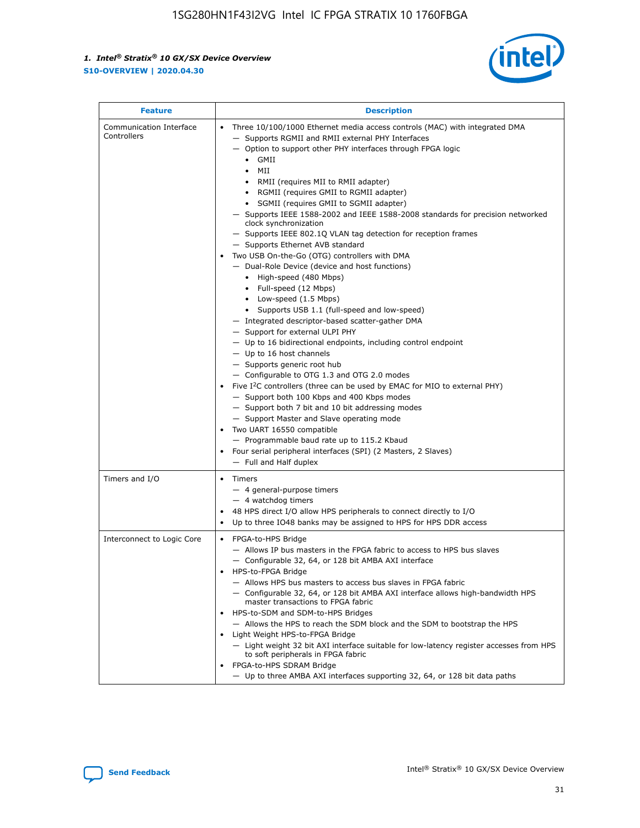

| <b>Feature</b>                         | <b>Description</b>                                                                                                                                                                                                                                                                                                                                                                                                                                                                                                                                                                                                                                                                                                                                                                                                                                                                                                                                                                                                                                                                                                                                                                                                                                                                                                                                                                                                                                                                                                  |
|----------------------------------------|---------------------------------------------------------------------------------------------------------------------------------------------------------------------------------------------------------------------------------------------------------------------------------------------------------------------------------------------------------------------------------------------------------------------------------------------------------------------------------------------------------------------------------------------------------------------------------------------------------------------------------------------------------------------------------------------------------------------------------------------------------------------------------------------------------------------------------------------------------------------------------------------------------------------------------------------------------------------------------------------------------------------------------------------------------------------------------------------------------------------------------------------------------------------------------------------------------------------------------------------------------------------------------------------------------------------------------------------------------------------------------------------------------------------------------------------------------------------------------------------------------------------|
| Communication Interface<br>Controllers | Three 10/100/1000 Ethernet media access controls (MAC) with integrated DMA<br>$\bullet$<br>- Supports RGMII and RMII external PHY Interfaces<br>- Option to support other PHY interfaces through FPGA logic<br>GMII<br>$\bullet$<br>MII<br>$\bullet$<br>• RMII (requires MII to RMII adapter)<br>• RGMII (requires GMII to RGMII adapter)<br>• SGMII (requires GMII to SGMII adapter)<br>- Supports IEEE 1588-2002 and IEEE 1588-2008 standards for precision networked<br>clock synchronization<br>- Supports IEEE 802.1Q VLAN tag detection for reception frames<br>- Supports Ethernet AVB standard<br>Two USB On-the-Go (OTG) controllers with DMA<br>- Dual-Role Device (device and host functions)<br>• High-speed (480 Mbps)<br>• Full-speed (12 Mbps)<br>• Low-speed (1.5 Mbps)<br>• Supports USB 1.1 (full-speed and low-speed)<br>- Integrated descriptor-based scatter-gather DMA<br>- Support for external ULPI PHY<br>- Up to 16 bidirectional endpoints, including control endpoint<br>$-$ Up to 16 host channels<br>- Supports generic root hub<br>- Configurable to OTG 1.3 and OTG 2.0 modes<br>Five $I^2C$ controllers (three can be used by EMAC for MIO to external PHY)<br>- Support both 100 Kbps and 400 Kbps modes<br>- Support both 7 bit and 10 bit addressing modes<br>- Support Master and Slave operating mode<br>Two UART 16550 compatible<br>- Programmable baud rate up to 115.2 Kbaud<br>• Four serial peripheral interfaces (SPI) (2 Masters, 2 Slaves)<br>- Full and Half duplex |
| Timers and I/O                         | $\bullet$ Timers<br>- 4 general-purpose timers<br>$-4$ watchdog timers<br>48 HPS direct I/O allow HPS peripherals to connect directly to I/O<br>Up to three IO48 banks may be assigned to HPS for HPS DDR access                                                                                                                                                                                                                                                                                                                                                                                                                                                                                                                                                                                                                                                                                                                                                                                                                                                                                                                                                                                                                                                                                                                                                                                                                                                                                                    |
| Interconnect to Logic Core             | • FPGA-to-HPS Bridge<br>- Allows IP bus masters in the FPGA fabric to access to HPS bus slaves<br>- Configurable 32, 64, or 128 bit AMBA AXI interface<br>HPS-to-FPGA Bridge<br>- Allows HPS bus masters to access bus slaves in FPGA fabric<br>- Configurable 32, 64, or 128 bit AMBA AXI interface allows high-bandwidth HPS<br>master transactions to FPGA fabric<br>HPS-to-SDM and SDM-to-HPS Bridges<br>- Allows the HPS to reach the SDM block and the SDM to bootstrap the HPS<br>Light Weight HPS-to-FPGA Bridge<br>- Light weight 32 bit AXI interface suitable for low-latency register accesses from HPS<br>to soft peripherals in FPGA fabric<br>FPGA-to-HPS SDRAM Bridge<br>- Up to three AMBA AXI interfaces supporting 32, 64, or 128 bit data paths                                                                                                                                                                                                                                                                                                                                                                                                                                                                                                                                                                                                                                                                                                                                                 |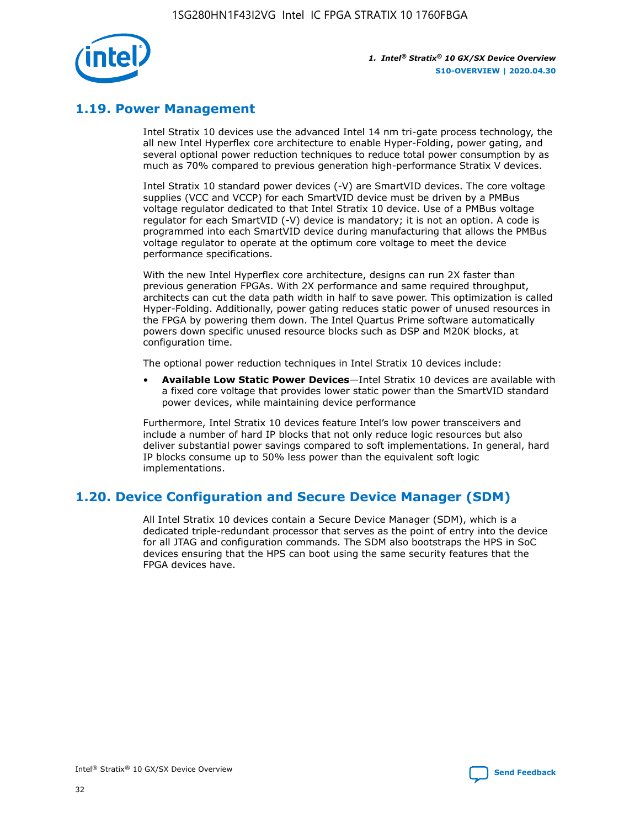

### **1.19. Power Management**

Intel Stratix 10 devices use the advanced Intel 14 nm tri-gate process technology, the all new Intel Hyperflex core architecture to enable Hyper-Folding, power gating, and several optional power reduction techniques to reduce total power consumption by as much as 70% compared to previous generation high-performance Stratix V devices.

Intel Stratix 10 standard power devices (-V) are SmartVID devices. The core voltage supplies (VCC and VCCP) for each SmartVID device must be driven by a PMBus voltage regulator dedicated to that Intel Stratix 10 device. Use of a PMBus voltage regulator for each SmartVID (-V) device is mandatory; it is not an option. A code is programmed into each SmartVID device during manufacturing that allows the PMBus voltage regulator to operate at the optimum core voltage to meet the device performance specifications.

With the new Intel Hyperflex core architecture, designs can run 2X faster than previous generation FPGAs. With 2X performance and same required throughput, architects can cut the data path width in half to save power. This optimization is called Hyper-Folding. Additionally, power gating reduces static power of unused resources in the FPGA by powering them down. The Intel Quartus Prime software automatically powers down specific unused resource blocks such as DSP and M20K blocks, at configuration time.

The optional power reduction techniques in Intel Stratix 10 devices include:

• **Available Low Static Power Devices**—Intel Stratix 10 devices are available with a fixed core voltage that provides lower static power than the SmartVID standard power devices, while maintaining device performance

Furthermore, Intel Stratix 10 devices feature Intel's low power transceivers and include a number of hard IP blocks that not only reduce logic resources but also deliver substantial power savings compared to soft implementations. In general, hard IP blocks consume up to 50% less power than the equivalent soft logic implementations.

### **1.20. Device Configuration and Secure Device Manager (SDM)**

All Intel Stratix 10 devices contain a Secure Device Manager (SDM), which is a dedicated triple-redundant processor that serves as the point of entry into the device for all JTAG and configuration commands. The SDM also bootstraps the HPS in SoC devices ensuring that the HPS can boot using the same security features that the FPGA devices have.

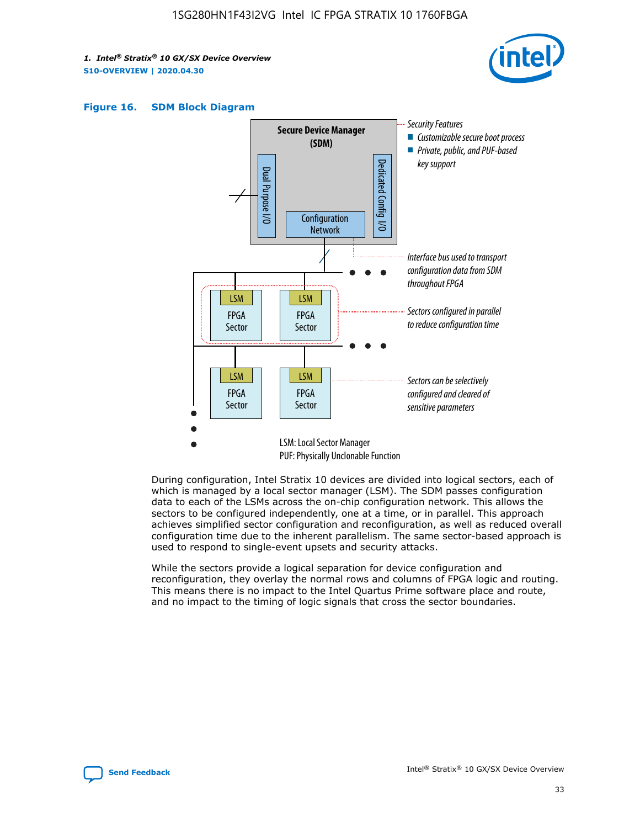





During configuration, Intel Stratix 10 devices are divided into logical sectors, each of which is managed by a local sector manager (LSM). The SDM passes configuration data to each of the LSMs across the on-chip configuration network. This allows the sectors to be configured independently, one at a time, or in parallel. This approach achieves simplified sector configuration and reconfiguration, as well as reduced overall configuration time due to the inherent parallelism. The same sector-based approach is used to respond to single-event upsets and security attacks.

While the sectors provide a logical separation for device configuration and reconfiguration, they overlay the normal rows and columns of FPGA logic and routing. This means there is no impact to the Intel Quartus Prime software place and route, and no impact to the timing of logic signals that cross the sector boundaries.

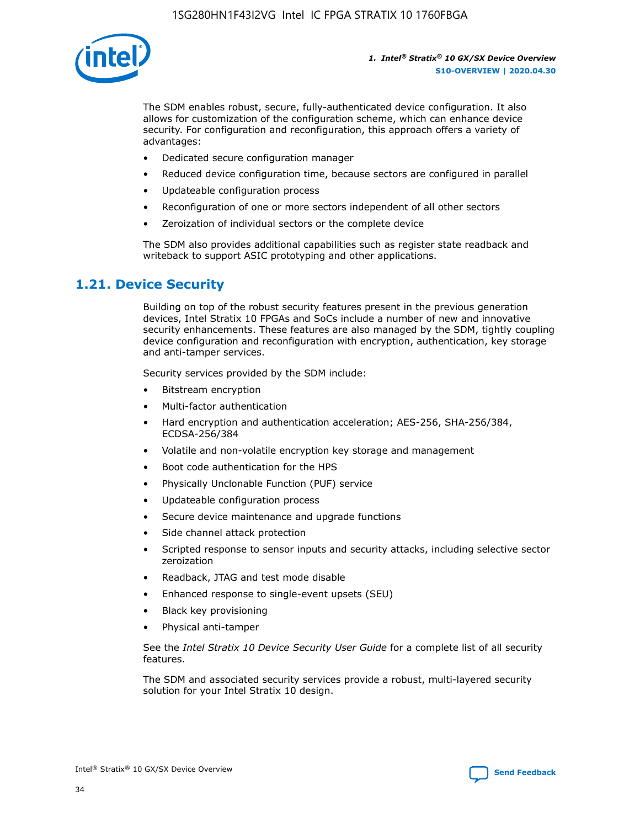

The SDM enables robust, secure, fully-authenticated device configuration. It also allows for customization of the configuration scheme, which can enhance device security. For configuration and reconfiguration, this approach offers a variety of advantages:

- Dedicated secure configuration manager
- Reduced device configuration time, because sectors are configured in parallel
- Updateable configuration process
- Reconfiguration of one or more sectors independent of all other sectors
- Zeroization of individual sectors or the complete device

The SDM also provides additional capabilities such as register state readback and writeback to support ASIC prototyping and other applications.

### **1.21. Device Security**

Building on top of the robust security features present in the previous generation devices, Intel Stratix 10 FPGAs and SoCs include a number of new and innovative security enhancements. These features are also managed by the SDM, tightly coupling device configuration and reconfiguration with encryption, authentication, key storage and anti-tamper services.

Security services provided by the SDM include:

- Bitstream encryption
- Multi-factor authentication
- Hard encryption and authentication acceleration; AES-256, SHA-256/384, ECDSA-256/384
- Volatile and non-volatile encryption key storage and management
- Boot code authentication for the HPS
- Physically Unclonable Function (PUF) service
- Updateable configuration process
- Secure device maintenance and upgrade functions
- Side channel attack protection
- Scripted response to sensor inputs and security attacks, including selective sector zeroization
- Readback, JTAG and test mode disable
- Enhanced response to single-event upsets (SEU)
- Black key provisioning
- Physical anti-tamper

See the *Intel Stratix 10 Device Security User Guide* for a complete list of all security features.

The SDM and associated security services provide a robust, multi-layered security solution for your Intel Stratix 10 design.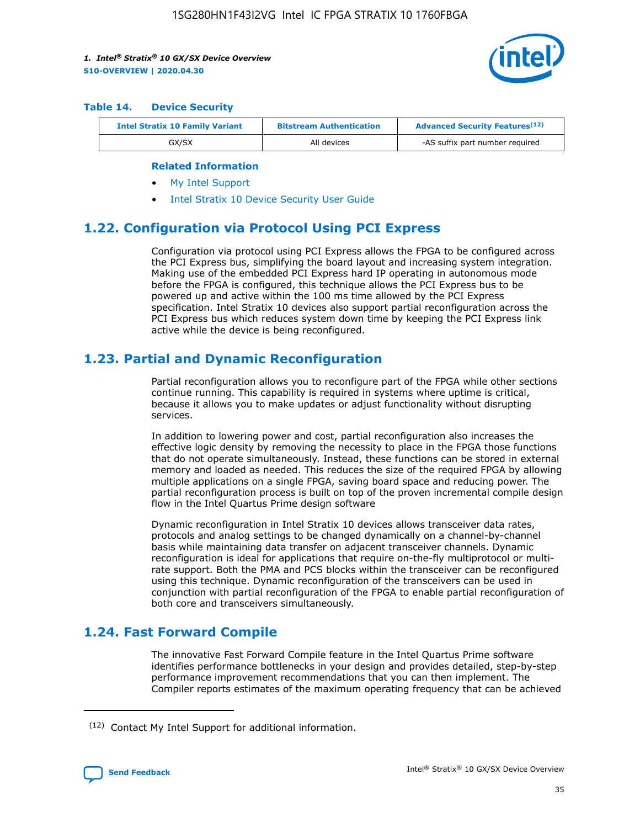

#### **Table 14. Device Security**

| <b>Intel Stratix 10 Family Variant</b> | <b>Bitstream Authentication</b> | <b>Advanced Security Features</b> <sup>(12)</sup> |  |
|----------------------------------------|---------------------------------|---------------------------------------------------|--|
| GX/SX                                  | All devices                     | -AS suffix part number required                   |  |

#### **Related Information**

- [My Intel Support](https://www.intel.com/content/www/us/en/programmable/my-intel/mal-home.html)
- [Intel Stratix 10 Device Security User Guide](https://www.intel.com/content/www/us/en/programmable/documentation/ndq1483601370898.html#wcd1483611014402)

### **1.22. Configuration via Protocol Using PCI Express**

Configuration via protocol using PCI Express allows the FPGA to be configured across the PCI Express bus, simplifying the board layout and increasing system integration. Making use of the embedded PCI Express hard IP operating in autonomous mode before the FPGA is configured, this technique allows the PCI Express bus to be powered up and active within the 100 ms time allowed by the PCI Express specification. Intel Stratix 10 devices also support partial reconfiguration across the PCI Express bus which reduces system down time by keeping the PCI Express link active while the device is being reconfigured.

### **1.23. Partial and Dynamic Reconfiguration**

Partial reconfiguration allows you to reconfigure part of the FPGA while other sections continue running. This capability is required in systems where uptime is critical, because it allows you to make updates or adjust functionality without disrupting services.

In addition to lowering power and cost, partial reconfiguration also increases the effective logic density by removing the necessity to place in the FPGA those functions that do not operate simultaneously. Instead, these functions can be stored in external memory and loaded as needed. This reduces the size of the required FPGA by allowing multiple applications on a single FPGA, saving board space and reducing power. The partial reconfiguration process is built on top of the proven incremental compile design flow in the Intel Quartus Prime design software

Dynamic reconfiguration in Intel Stratix 10 devices allows transceiver data rates, protocols and analog settings to be changed dynamically on a channel-by-channel basis while maintaining data transfer on adjacent transceiver channels. Dynamic reconfiguration is ideal for applications that require on-the-fly multiprotocol or multirate support. Both the PMA and PCS blocks within the transceiver can be reconfigured using this technique. Dynamic reconfiguration of the transceivers can be used in conjunction with partial reconfiguration of the FPGA to enable partial reconfiguration of both core and transceivers simultaneously.

### **1.24. Fast Forward Compile**

The innovative Fast Forward Compile feature in the Intel Quartus Prime software identifies performance bottlenecks in your design and provides detailed, step-by-step performance improvement recommendations that you can then implement. The Compiler reports estimates of the maximum operating frequency that can be achieved

<sup>(12)</sup> Contact My Intel Support for additional information.

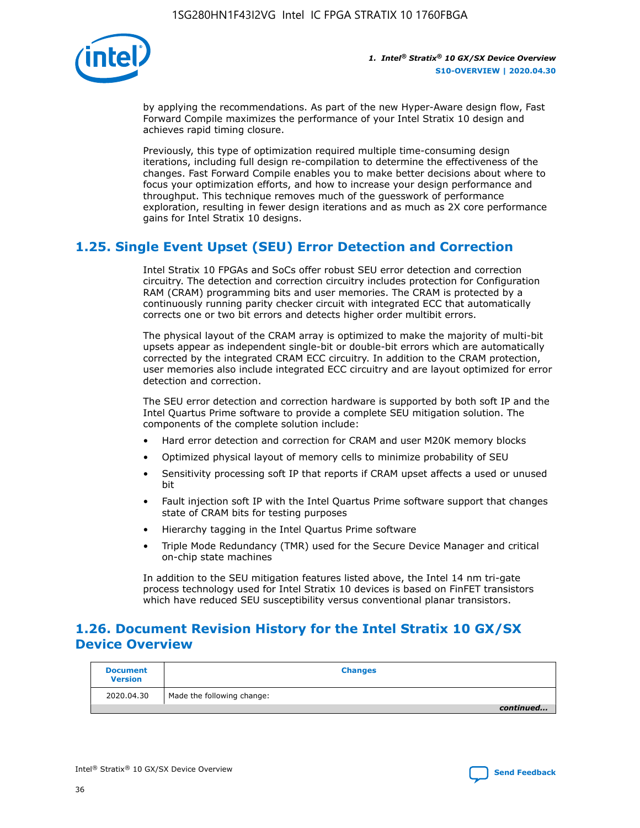

by applying the recommendations. As part of the new Hyper-Aware design flow, Fast Forward Compile maximizes the performance of your Intel Stratix 10 design and achieves rapid timing closure.

Previously, this type of optimization required multiple time-consuming design iterations, including full design re-compilation to determine the effectiveness of the changes. Fast Forward Compile enables you to make better decisions about where to focus your optimization efforts, and how to increase your design performance and throughput. This technique removes much of the guesswork of performance exploration, resulting in fewer design iterations and as much as 2X core performance gains for Intel Stratix 10 designs.

### **1.25. Single Event Upset (SEU) Error Detection and Correction**

Intel Stratix 10 FPGAs and SoCs offer robust SEU error detection and correction circuitry. The detection and correction circuitry includes protection for Configuration RAM (CRAM) programming bits and user memories. The CRAM is protected by a continuously running parity checker circuit with integrated ECC that automatically corrects one or two bit errors and detects higher order multibit errors.

The physical layout of the CRAM array is optimized to make the majority of multi-bit upsets appear as independent single-bit or double-bit errors which are automatically corrected by the integrated CRAM ECC circuitry. In addition to the CRAM protection, user memories also include integrated ECC circuitry and are layout optimized for error detection and correction.

The SEU error detection and correction hardware is supported by both soft IP and the Intel Quartus Prime software to provide a complete SEU mitigation solution. The components of the complete solution include:

- Hard error detection and correction for CRAM and user M20K memory blocks
- Optimized physical layout of memory cells to minimize probability of SEU
- Sensitivity processing soft IP that reports if CRAM upset affects a used or unused bit
- Fault injection soft IP with the Intel Quartus Prime software support that changes state of CRAM bits for testing purposes
- Hierarchy tagging in the Intel Quartus Prime software
- Triple Mode Redundancy (TMR) used for the Secure Device Manager and critical on-chip state machines

In addition to the SEU mitigation features listed above, the Intel 14 nm tri-gate process technology used for Intel Stratix 10 devices is based on FinFET transistors which have reduced SEU susceptibility versus conventional planar transistors.

### **1.26. Document Revision History for the Intel Stratix 10 GX/SX Device Overview**

| <b>Document</b><br><b>Version</b> | <b>Changes</b>             |
|-----------------------------------|----------------------------|
| 2020.04.30                        | Made the following change: |
|                                   | continued                  |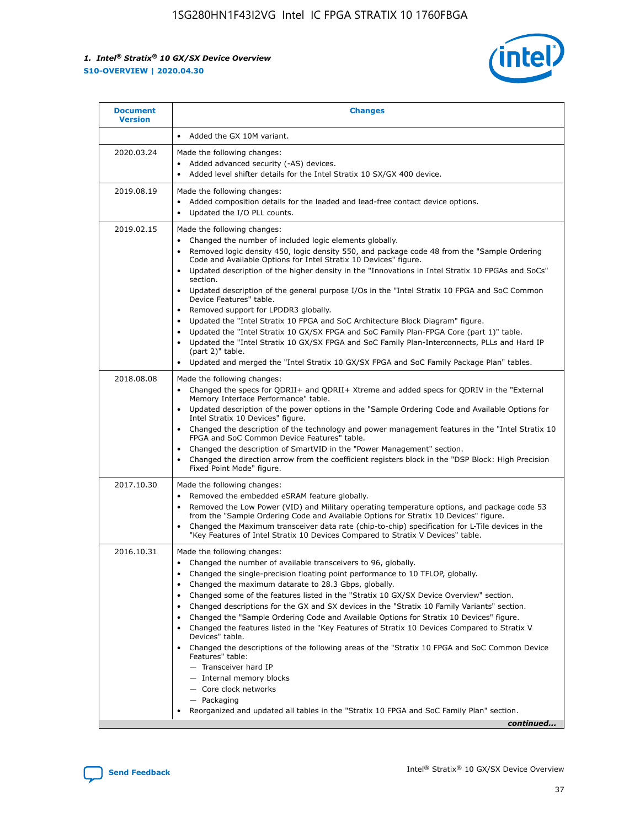

| <b>Document</b><br><b>Version</b> | <b>Changes</b>                                                                                                                                                                                                                                                                                                                                                                                                                                                                                                                                                                                                                                                                                                                                                                                                                                                                                                                                                                                              |
|-----------------------------------|-------------------------------------------------------------------------------------------------------------------------------------------------------------------------------------------------------------------------------------------------------------------------------------------------------------------------------------------------------------------------------------------------------------------------------------------------------------------------------------------------------------------------------------------------------------------------------------------------------------------------------------------------------------------------------------------------------------------------------------------------------------------------------------------------------------------------------------------------------------------------------------------------------------------------------------------------------------------------------------------------------------|
|                                   | Added the GX 10M variant.                                                                                                                                                                                                                                                                                                                                                                                                                                                                                                                                                                                                                                                                                                                                                                                                                                                                                                                                                                                   |
| 2020.03.24                        | Made the following changes:<br>Added advanced security (-AS) devices.<br>Added level shifter details for the Intel Stratix 10 SX/GX 400 device.                                                                                                                                                                                                                                                                                                                                                                                                                                                                                                                                                                                                                                                                                                                                                                                                                                                             |
| 2019.08.19                        | Made the following changes:<br>Added composition details for the leaded and lead-free contact device options.<br>$\bullet$<br>Updated the I/O PLL counts.                                                                                                                                                                                                                                                                                                                                                                                                                                                                                                                                                                                                                                                                                                                                                                                                                                                   |
| 2019.02.15                        | Made the following changes:<br>Changed the number of included logic elements globally.<br>$\bullet$<br>Removed logic density 450, logic density 550, and package code 48 from the "Sample Ordering<br>$\bullet$<br>Code and Available Options for Intel Stratix 10 Devices" figure.<br>Updated description of the higher density in the "Innovations in Intel Stratix 10 FPGAs and SoCs"<br>section.<br>Updated description of the general purpose I/Os in the "Intel Stratix 10 FPGA and SoC Common<br>$\bullet$<br>Device Features" table.<br>Removed support for LPDDR3 globally.<br>Updated the "Intel Stratix 10 FPGA and SoC Architecture Block Diagram" figure.<br>$\bullet$<br>Updated the "Intel Stratix 10 GX/SX FPGA and SoC Family Plan-FPGA Core (part 1)" table.<br>$\bullet$<br>Updated the "Intel Stratix 10 GX/SX FPGA and SoC Family Plan-Interconnects, PLLs and Hard IP<br>(part 2)" table.<br>Updated and merged the "Intel Stratix 10 GX/SX FPGA and SoC Family Package Plan" tables. |
| 2018.08.08                        | Made the following changes:<br>Changed the specs for QDRII+ and QDRII+ Xtreme and added specs for QDRIV in the "External<br>$\bullet$<br>Memory Interface Performance" table.<br>Updated description of the power options in the "Sample Ordering Code and Available Options for<br>Intel Stratix 10 Devices" figure.<br>Changed the description of the technology and power management features in the "Intel Stratix 10<br>FPGA and SoC Common Device Features" table.<br>Changed the description of SmartVID in the "Power Management" section.<br>Changed the direction arrow from the coefficient registers block in the "DSP Block: High Precision<br>$\bullet$<br>Fixed Point Mode" figure.                                                                                                                                                                                                                                                                                                          |
| 2017.10.30                        | Made the following changes:<br>Removed the embedded eSRAM feature globally.<br>$\bullet$<br>Removed the Low Power (VID) and Military operating temperature options, and package code 53<br>$\bullet$<br>from the "Sample Ordering Code and Available Options for Stratix 10 Devices" figure.<br>Changed the Maximum transceiver data rate (chip-to-chip) specification for L-Tile devices in the<br>"Key Features of Intel Stratix 10 Devices Compared to Stratix V Devices" table.                                                                                                                                                                                                                                                                                                                                                                                                                                                                                                                         |
| 2016.10.31                        | Made the following changes:<br>• Changed the number of available transceivers to 96, globally.<br>Changed the single-precision floating point performance to 10 TFLOP, globally.<br>Changed the maximum datarate to 28.3 Gbps, globally.<br>٠<br>Changed some of the features listed in the "Stratix 10 GX/SX Device Overview" section.<br>$\bullet$<br>Changed descriptions for the GX and SX devices in the "Stratix 10 Family Variants" section.<br>$\bullet$<br>Changed the "Sample Ordering Code and Available Options for Stratix 10 Devices" figure.<br>Changed the features listed in the "Key Features of Stratix 10 Devices Compared to Stratix V<br>Devices" table.<br>Changed the descriptions of the following areas of the "Stratix 10 FPGA and SoC Common Device<br>Features" table:<br>- Transceiver hard IP<br>- Internal memory blocks<br>- Core clock networks<br>- Packaging<br>Reorganized and updated all tables in the "Stratix 10 FPGA and SoC Family Plan" section.                |
|                                   | continued                                                                                                                                                                                                                                                                                                                                                                                                                                                                                                                                                                                                                                                                                                                                                                                                                                                                                                                                                                                                   |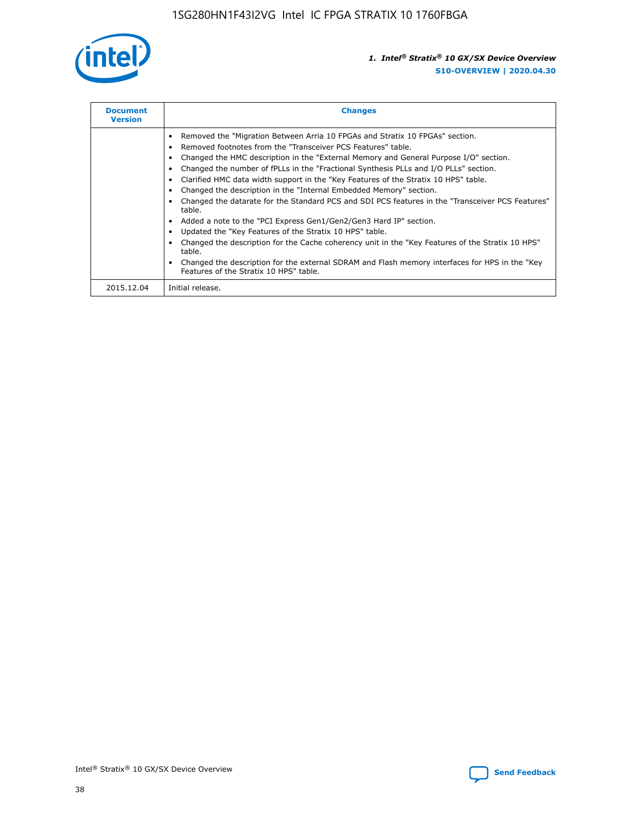

| <b>Document</b><br><b>Version</b> | <b>Changes</b>                                                                                                                                                                                                                                                                                                                                                                                                                                                                                                                                                                                                                                                                                                                                                                                                                                                                                                                                                                                     |
|-----------------------------------|----------------------------------------------------------------------------------------------------------------------------------------------------------------------------------------------------------------------------------------------------------------------------------------------------------------------------------------------------------------------------------------------------------------------------------------------------------------------------------------------------------------------------------------------------------------------------------------------------------------------------------------------------------------------------------------------------------------------------------------------------------------------------------------------------------------------------------------------------------------------------------------------------------------------------------------------------------------------------------------------------|
|                                   | Removed the "Migration Between Arria 10 FPGAs and Stratix 10 FPGAs" section.<br>Removed footnotes from the "Transceiver PCS Features" table.<br>Changed the HMC description in the "External Memory and General Purpose I/O" section.<br>Changed the number of fPLLs in the "Fractional Synthesis PLLs and I/O PLLs" section.<br>Clarified HMC data width support in the "Key Features of the Stratix 10 HPS" table.<br>Changed the description in the "Internal Embedded Memory" section.<br>Changed the datarate for the Standard PCS and SDI PCS features in the "Transceiver PCS Features"<br>table.<br>Added a note to the "PCI Express Gen1/Gen2/Gen3 Hard IP" section.<br>Updated the "Key Features of the Stratix 10 HPS" table.<br>Changed the description for the Cache coherency unit in the "Key Features of the Stratix 10 HPS"<br>table.<br>Changed the description for the external SDRAM and Flash memory interfaces for HPS in the "Key<br>Features of the Stratix 10 HPS" table. |
| 2015.12.04                        | Initial release.                                                                                                                                                                                                                                                                                                                                                                                                                                                                                                                                                                                                                                                                                                                                                                                                                                                                                                                                                                                   |